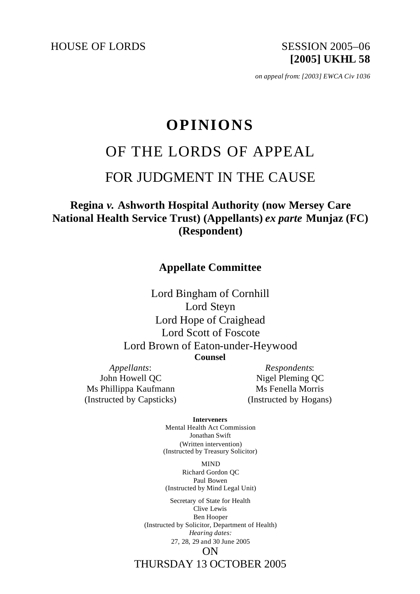HOUSE OF LORDS SESSION 2005-06

**[2005] UKHL 58**

*on appeal from: [2003] EWCA Civ 1036*

# **OPINIONS**

# OF THE LORDS OF APPEAL

# FOR JUDGMENT IN THE CAUSE

# **Regina** *v.* **Ashworth Hospital Authority (now Mersey Care National Health Service Trust) (Appellants)** *ex parte* **Munjaz (FC) (Respondent)**

# **Appellate Committee**

Lord Bingham of Cornhill Lord Steyn Lord Hope of Craighead Lord Scott of Foscote Lord Brown of Eaton-under-Heywood **Counsel**

*Appellants*: John Howell QC Ms Phillippa Kaufmann (Instructed by Capsticks)

*Respondents*: Nigel Pleming QC Ms Fenella Morris (Instructed by Hogans)

**Interveners**

Mental Health Act Commission Jonathan Swift (Written intervention) (Instructed by Treasury Solicitor)

MIND Richard Gordon QC Paul Bowen (Instructed by Mind Legal Unit)

Secretary of State for Health Clive Lewis Ben Hooper (Instructed by Solicitor, Department of Health) *Hearing dates:* 27, 28, 29 and 30 June 2005 ON

THURSDAY 13 OCTOBER 2005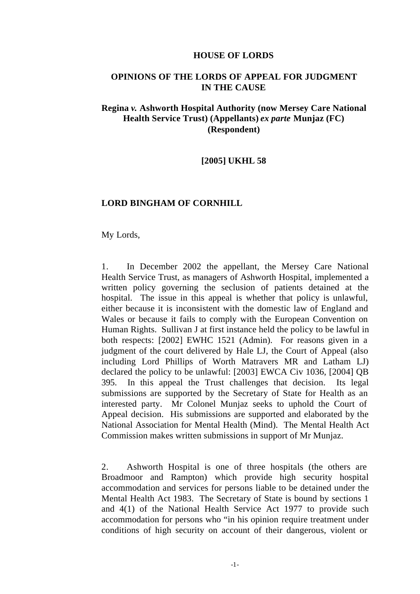#### **HOUSE OF LORDS**

#### **OPINIONS OF THE LORDS OF APPEAL FOR JUDGMENT IN THE CAUSE**

# **Regina** *v.* **Ashworth Hospital Authority (now Mersey Care National Health Service Trust) (Appellants)** *ex parte* **Munjaz (FC) (Respondent)**

#### **[2005] UKHL 58**

#### **LORD BINGHAM OF CORNHILL**

My Lords,

1. In December 2002 the appellant, the Mersey Care National Health Service Trust, as managers of Ashworth Hospital, implemented a written policy governing the seclusion of patients detained at the hospital. The issue in this appeal is whether that policy is unlawful, either because it is inconsistent with the domestic law of England and Wales or because it fails to comply with the European Convention on Human Rights. Sullivan J at first instance held the policy to be lawful in both respects: [2002] EWHC 1521 (Admin). For reasons given in a judgment of the court delivered by Hale LJ, the Court of Appeal (also including Lord Phillips of Worth Matravers MR and Latham LJ) declared the policy to be unlawful: [2003] EWCA Civ 1036, [2004] QB 395. In this appeal the Trust challenges that decision. Its legal submissions are supported by the Secretary of State for Health as an interested party. Mr Colonel Munjaz seeks to uphold the Court of Appeal decision. His submissions are supported and elaborated by the National Association for Mental Health (Mind). The Mental Health Act Commission makes written submissions in support of Mr Munjaz.

2. Ashworth Hospital is one of three hospitals (the others are Broadmoor and Rampton) which provide high security hospital accommodation and services for persons liable to be detained under the Mental Health Act 1983. The Secretary of State is bound by sections 1 and 4(1) of the National Health Service Act 1977 to provide such accommodation for persons who "in his opinion require treatment under conditions of high security on account of their dangerous, violent or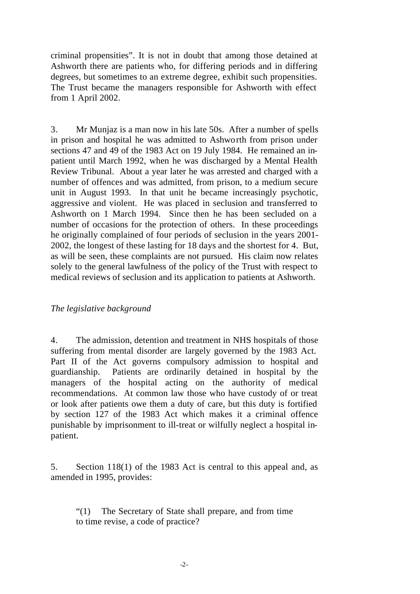criminal propensities". It is not in doubt that among those detained at Ashworth there are patients who, for differing periods and in differing degrees, but sometimes to an extreme degree, exhibit such propensities. The Trust became the managers responsible for Ashworth with effect from 1 April 2002.

3. Mr Munjaz is a man now in his late 50s. After a number of spells in prison and hospital he was admitted to Ashworth from prison under sections 47 and 49 of the 1983 Act on 19 July 1984. He remained an inpatient until March 1992, when he was discharged by a Mental Health Review Tribunal. About a year later he was arrested and charged with a number of offences and was admitted, from prison, to a medium secure unit in August 1993. In that unit he became increasingly psychotic, aggressive and violent. He was placed in seclusion and transferred to Ashworth on 1 March 1994. Since then he has been secluded on a number of occasions for the protection of others. In these proceedings he originally complained of four periods of seclusion in the years 2001- 2002, the longest of these lasting for 18 days and the shortest for 4. But, as will be seen, these complaints are not pursued. His claim now relates solely to the general lawfulness of the policy of the Trust with respect to medical reviews of seclusion and its application to patients at Ashworth.

#### *The legislative background*

4. The admission, detention and treatment in NHS hospitals of those suffering from mental disorder are largely governed by the 1983 Act. Part II of the Act governs compulsory admission to hospital and guardianship. Patients are ordinarily detained in hospital by the managers of the hospital acting on the authority of medical recommendations. At common law those who have custody of or treat or look after patients owe them a duty of care, but this duty is fortified by section 127 of the 1983 Act which makes it a criminal offence punishable by imprisonment to ill-treat or wilfully neglect a hospital inpatient.

5. Section 118(1) of the 1983 Act is central to this appeal and, as amended in 1995, provides:

"(1) The Secretary of State shall prepare, and from time to time revise, a code of practice?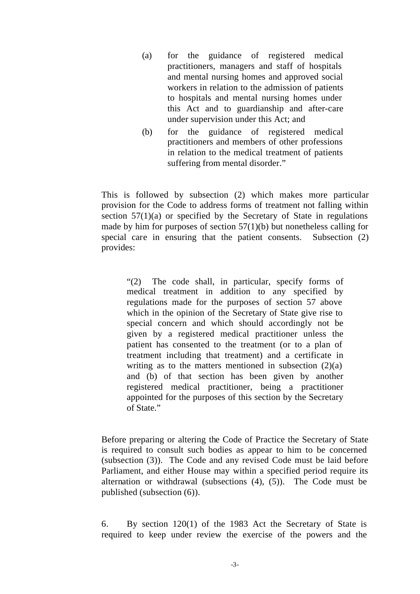- (a) for the guidance of registered medical practitioners, managers and staff of hospitals and mental nursing homes and approved social workers in relation to the admission of patients to hospitals and mental nursing homes under this Act and to guardianship and after-care under supervision under this Act; and
- (b) for the guidance of registered medical practitioners and members of other professions in relation to the medical treatment of patients suffering from mental disorder."

This is followed by subsection (2) which makes more particular provision for the Code to address forms of treatment not falling within section  $57(1)(a)$  or specified by the Secretary of State in regulations made by him for purposes of section  $57(1)(b)$  but nonetheless calling for special care in ensuring that the patient consents. Subsection (2) provides:

"(2) The code shall, in particular, specify forms of medical treatment in addition to any specified by regulations made for the purposes of section 57 above which in the opinion of the Secretary of State give rise to special concern and which should accordingly not be given by a registered medical practitioner unless the patient has consented to the treatment (or to a plan of treatment including that treatment) and a certificate in writing as to the matters mentioned in subsection  $(2)(a)$ and (b) of that section has been given by another registered medical practitioner, being a practitioner appointed for the purposes of this section by the Secretary of State."

Before preparing or altering the Code of Practice the Secretary of State is required to consult such bodies as appear to him to be concerned (subsection (3)). The Code and any revised Code must be laid before Parliament, and either House may within a specified period require its alternation or withdrawal (subsections (4), (5)). The Code must be published (subsection (6)).

6. By section 120(1) of the 1983 Act the Secretary of State is required to keep under review the exercise of the powers and the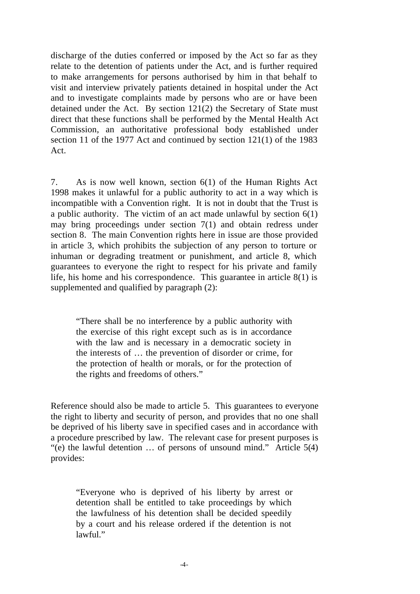discharge of the duties conferred or imposed by the Act so far as they relate to the detention of patients under the Act, and is further required to make arrangements for persons authorised by him in that behalf to visit and interview privately patients detained in hospital under the Act and to investigate complaints made by persons who are or have been detained under the Act. By section 121(2) the Secretary of State must direct that these functions shall be performed by the Mental Health Act Commission, an authoritative professional body established under section 11 of the 1977 Act and continued by section 121(1) of the 1983 Act.

7. As is now well known, section 6(1) of the Human Rights Act 1998 makes it unlawful for a public authority to act in a way which is incompatible with a Convention right. It is not in doubt that the Trust is a public authority. The victim of an act made unlawful by section  $6(1)$ may bring proceedings under section 7(1) and obtain redress under section 8. The main Convention rights here in issue are those provided in article 3, which prohibits the subjection of any person to torture or inhuman or degrading treatment or punishment, and article 8, which guarantees to everyone the right to respect for his private and family life, his home and his correspondence. This guarantee in article  $8(1)$  is supplemented and qualified by paragraph (2):

"There shall be no interference by a public authority with the exercise of this right except such as is in accordance with the law and is necessary in a democratic society in the interests of … the prevention of disorder or crime, for the protection of health or morals, or for the protection of the rights and freedoms of others."

Reference should also be made to article 5. This guarantees to everyone the right to liberty and security of person, and provides that no one shall be deprived of his liberty save in specified cases and in accordance with a procedure prescribed by law. The relevant case for present purposes is "(e) the lawful detention … of persons of unsound mind." Article 5(4) provides:

"Everyone who is deprived of his liberty by arrest or detention shall be entitled to take proceedings by which the lawfulness of his detention shall be decided speedily by a court and his release ordered if the detention is not lawful."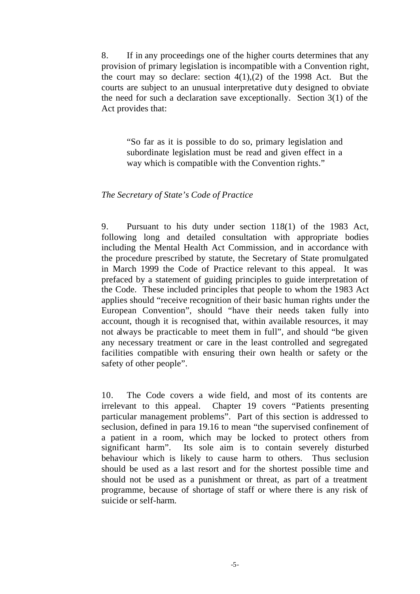8. If in any proceedings one of the higher courts determines that any provision of primary legislation is incompatible with a Convention right, the court may so declare: section  $4(1),(2)$  of the 1998 Act. But the courts are subject to an unusual interpretative duty designed to obviate the need for such a declaration save exceptionally. Section 3(1) of the Act provides that:

"So far as it is possible to do so, primary legislation and subordinate legislation must be read and given effect in a way which is compatible with the Convention rights."

#### *The Secretary of State's Code of Practice*

9. Pursuant to his duty under section 118(1) of the 1983 Act, following long and detailed consultation with appropriate bodies including the Mental Health Act Commission, and in accordance with the procedure prescribed by statute, the Secretary of State promulgated in March 1999 the Code of Practice relevant to this appeal. It was prefaced by a statement of guiding principles to guide interpretation of the Code. These included principles that people to whom the 1983 Act applies should "receive recognition of their basic human rights under the European Convention", should "have their needs taken fully into account, though it is recognised that, within available resources, it may not always be practicable to meet them in full", and should "be given any necessary treatment or care in the least controlled and segregated facilities compatible with ensuring their own health or safety or the safety of other people".

10. The Code covers a wide field, and most of its contents are irrelevant to this appeal. Chapter 19 covers "Patients presenting particular management problems". Part of this section is addressed to seclusion, defined in para 19.16 to mean "the supervised confinement of a patient in a room, which may be locked to protect others from significant harm". Its sole aim is to contain severely disturbed behaviour which is likely to cause harm to others. Thus seclusion should be used as a last resort and for the shortest possible time and should not be used as a punishment or threat, as part of a treatment programme, because of shortage of staff or where there is any risk of suicide or self-harm.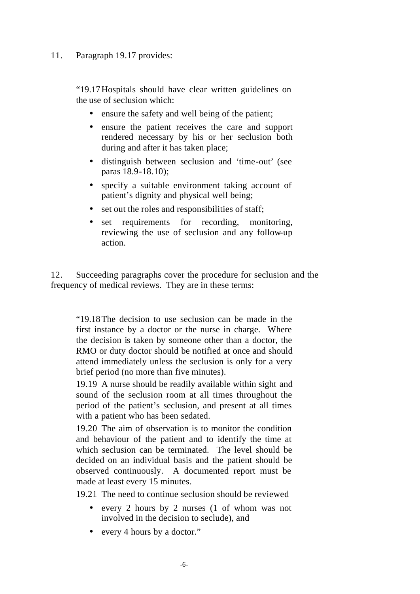# 11. Paragraph 19.17 provides:

"19.17Hospitals should have clear written guidelines on the use of seclusion which:

- ensure the safety and well being of the patient;
- ensure the patient receives the care and support rendered necessary by his or her seclusion both during and after it has taken place;
- distinguish between seclusion and 'time-out' (see paras 18.9-18.10);
- specify a suitable environment taking account of patient's dignity and physical well being;
- set out the roles and responsibilities of staff;
- set requirements for recording, monitoring, reviewing the use of seclusion and any follow-up action.

12. Succeeding paragraphs cover the procedure for seclusion and the frequency of medical reviews. They are in these terms:

"19.18The decision to use seclusion can be made in the first instance by a doctor or the nurse in charge. Where the decision is taken by someone other than a doctor, the RMO or duty doctor should be notified at once and should attend immediately unless the seclusion is only for a very brief period (no more than five minutes).

19.19 A nurse should be readily available within sight and sound of the seclusion room at all times throughout the period of the patient's seclusion, and present at all times with a patient who has been sedated.

19.20 The aim of observation is to monitor the condition and behaviour of the patient and to identify the time at which seclusion can be terminated. The level should be decided on an individual basis and the patient should be observed continuously. A documented report must be made at least every 15 minutes.

19.21 The need to continue seclusion should be reviewed

- every 2 hours by 2 nurses (1 of whom was not involved in the decision to seclude), and
- every 4 hours by a doctor."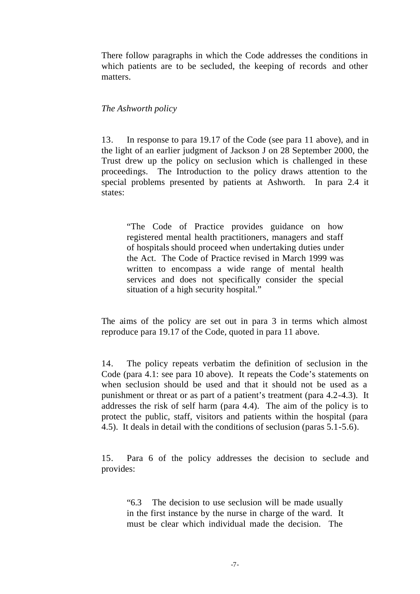There follow paragraphs in which the Code addresses the conditions in which patients are to be secluded, the keeping of records and other matters.

#### *The Ashworth policy*

13. In response to para 19.17 of the Code (see para 11 above), and in the light of an earlier judgment of Jackson J on 28 September 2000, the Trust drew up the policy on seclusion which is challenged in these proceedings. The Introduction to the policy draws attention to the special problems presented by patients at Ashworth. In para 2.4 it states:

"The Code of Practice provides guidance on how registered mental health practitioners, managers and staff of hospitals should proceed when undertaking duties under the Act. The Code of Practice revised in March 1999 was written to encompass a wide range of mental health services and does not specifically consider the special situation of a high security hospital."

The aims of the policy are set out in para 3 in terms which almost reproduce para 19.17 of the Code, quoted in para 11 above.

14. The policy repeats verbatim the definition of seclusion in the Code (para 4.1: see para 10 above). It repeats the Code's statements on when seclusion should be used and that it should not be used as a punishment or threat or as part of a patient's treatment (para 4.2-4.3). It addresses the risk of self harm (para 4.4). The aim of the policy is to protect the public, staff, visitors and patients within the hospital (para 4.5). It deals in detail with the conditions of seclusion (paras 5.1-5.6).

15. Para 6 of the policy addresses the decision to seclude and provides:

"6.3 The decision to use seclusion will be made usually in the first instance by the nurse in charge of the ward. It must be clear which individual made the decision. The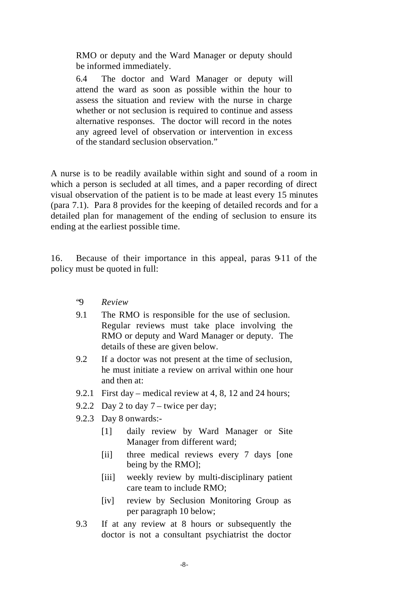RMO or deputy and the Ward Manager or deputy should be informed immediately.

6.4 The doctor and Ward Manager or deputy will attend the ward as soon as possible within the hour to assess the situation and review with the nurse in charge whether or not seclusion is required to continue and assess alternative responses. The doctor will record in the notes any agreed level of observation or intervention in excess of the standard seclusion observation."

A nurse is to be readily available within sight and sound of a room in which a person is secluded at all times, and a paper recording of direct visual observation of the patient is to be made at least every 15 minutes (para 7.1). Para 8 provides for the keeping of detailed records and for a detailed plan for management of the ending of seclusion to ensure its ending at the earliest possible time.

16. Because of their importance in this appeal, paras 9-11 of the policy must be quoted in full:

- "9 *Review*
- 9.1 The RMO is responsible for the use of seclusion. Regular reviews must take place involving the RMO or deputy and Ward Manager or deputy. The details of these are given below.
- 9.2 If a doctor was not present at the time of seclusion, he must initiate a review on arrival within one hour and then at:
- 9.2.1 First day medical review at 4, 8, 12 and 24 hours;
- 9.2.2 Day 2 to day 7 twice per day;
- 9.2.3 Day 8 onwards:-
	- [1] daily review by Ward Manager or Site Manager from different ward;
	- [ii] three medical reviews every 7 days [one] being by the RMO];
	- [iii] weekly review by multi-disciplinary patient care team to include RMO;
	- [iv] review by Seclusion Monitoring Group as per paragraph 10 below;
- 9.3 If at any review at 8 hours or subsequently the doctor is not a consultant psychiatrist the doctor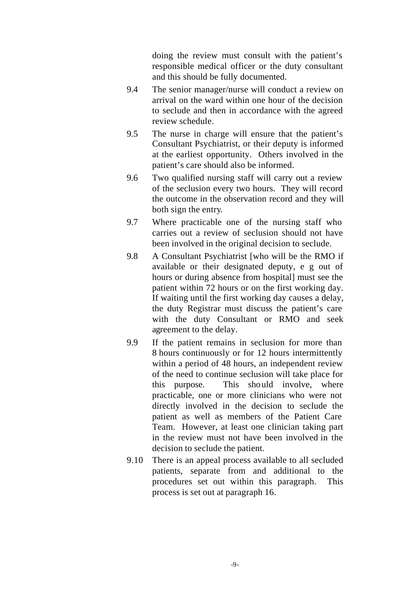doing the review must consult with the patient's responsible medical officer or the duty consultant and this should be fully documented.

- 9.4 The senior manager/nurse will conduct a review on arrival on the ward within one hour of the decision to seclude and then in accordance with the agreed review schedule.
- 9.5 The nurse in charge will ensure that the patient's Consultant Psychiatrist, or their deputy is informed at the earliest opportunity. Others involved in the patient's care should also be informed.
- 9.6 Two qualified nursing staff will carry out a review of the seclusion every two hours. They will record the outcome in the observation record and they will both sign the entry.
- 9.7 Where practicable one of the nursing staff who carries out a review of seclusion should not have been involved in the original decision to seclude.
- 9.8 A Consultant Psychiatrist [who will be the RMO if available or their designated deputy, e g out of hours or during absence from hospital] must see the patient within 72 hours or on the first working day. If waiting until the first working day causes a delay, the duty Registrar must discuss the patient's care with the duty Consultant or RMO and seek agreement to the delay.
- 9.9 If the patient remains in seclusion for more than 8 hours continuously or for 12 hours intermittently within a period of 48 hours, an independent review of the need to continue seclusion will take place for this purpose. This should involve, where practicable, one or more clinicians who were not directly involved in the decision to seclude the patient as well as members of the Patient Care Team. However, at least one clinician taking part in the review must not have been involved in the decision to seclude the patient.
- 9.10 There is an appeal process available to all secluded patients, separate from and additional to the procedures set out within this paragraph. This process is set out at paragraph 16.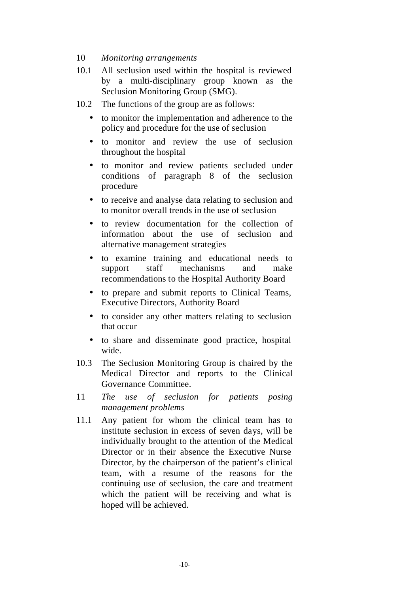#### 10 *Monitoring arrangements*

- 10.1 All seclusion used within the hospital is reviewed by a multi-disciplinary group known as the Seclusion Monitoring Group (SMG).
- 10.2 The functions of the group are as follows:
	- to monitor the implementation and adherence to the policy and procedure for the use of seclusion
	- to monitor and review the use of seclusion throughout the hospital
	- to monitor and review patients secluded under conditions of paragraph 8 of the seclusion procedure
	- to receive and analyse data relating to seclusion and to monitor overall trends in the use of seclusion
	- to review documentation for the collection of information about the use of seclusion and alternative management strategies
	- to examine training and educational needs to support staff mechanisms and make recommendations to the Hospital Authority Board
	- to prepare and submit reports to Clinical Teams, Executive Directors, Authority Board
	- to consider any other matters relating to seclusion that occur
	- to share and disseminate good practice, hospital wide.
- 10.3 The Seclusion Monitoring Group is chaired by the Medical Director and reports to the Clinical Governance Committee.
- 11 *The use of seclusion for patients posing management problems*
- 11.1 Any patient for whom the clinical team has to institute seclusion in excess of seven days, will be individually brought to the attention of the Medical Director or in their absence the Executive Nurse Director, by the chairperson of the patient's clinical team, with a resume of the reasons for the continuing use of seclusion, the care and treatment which the patient will be receiving and what is hoped will be achieved.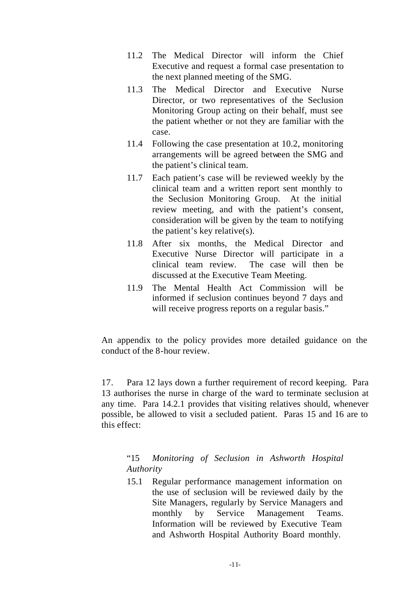- 11.2 The Medical Director will inform the Chief Executive and request a formal case presentation to the next planned meeting of the SMG.
- 11.3 The Medical Director and Executive Nurse Director, or two representatives of the Seclusion Monitoring Group acting on their behalf, must see the patient whether or not they are familiar with the case.
- 11.4 Following the case presentation at 10.2, monitoring arrangements will be agreed between the SMG and the patient's clinical team.
- 11.7 Each patient's case will be reviewed weekly by the clinical team and a written report sent monthly to the Seclusion Monitoring Group. At the initial review meeting, and with the patient's consent, consideration will be given by the team to notifying the patient's key relative(s).
- 11.8 After six months, the Medical Director and Executive Nurse Director will participate in a clinical team review. The case will then be discussed at the Executive Team Meeting.
- 11.9 The Mental Health Act Commission will be informed if seclusion continues beyond 7 days and will receive progress reports on a regular basis."

An appendix to the policy provides more detailed guidance on the conduct of the 8-hour review.

17. Para 12 lays down a further requirement of record keeping. Para 13 authorises the nurse in charge of the ward to terminate seclusion at any time. Para 14.2.1 provides that visiting relatives should, whenever possible, be allowed to visit a secluded patient. Paras 15 and 16 are to this effect:

# "15 *Monitoring of Seclusion in Ashworth Hospital Authority*

15.1 Regular performance management information on the use of seclusion will be reviewed daily by the Site Managers, regularly by Service Managers and monthly by Service Management Teams. Information will be reviewed by Executive Team and Ashworth Hospital Authority Board monthly.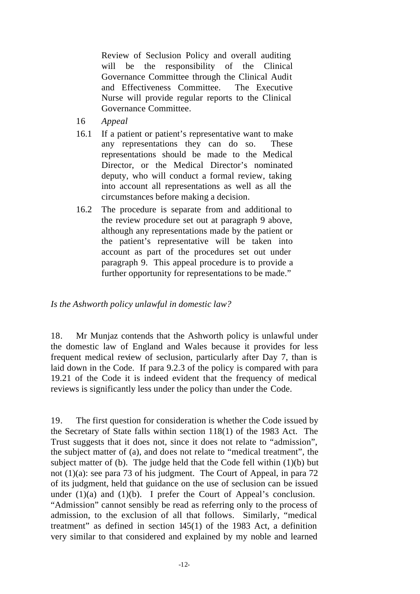Review of Seclusion Policy and overall auditing will be the responsibility of the Clinical Governance Committee through the Clinical Audit and Effectiveness Committee. The Executive Nurse will provide regular reports to the Clinical Governance Committee.

- 16 *Appeal*
- 16.1 If a patient or patient's representative want to make any representations they can do so. These representations should be made to the Medical Director, or the Medical Director's nominated deputy, who will conduct a formal review, taking into account all representations as well as all the circumstances before making a decision.
- 16.2 The procedure is separate from and additional to the review procedure set out at paragraph 9 above, although any representations made by the patient or the patient's representative will be taken into account as part of the procedures set out under paragraph 9. This appeal procedure is to provide a further opportunity for representations to be made."

*Is the Ashworth policy unlawful in domestic law?*

18. Mr Munjaz contends that the Ashworth policy is unlawful under the domestic law of England and Wales because it provides for less frequent medical review of seclusion, particularly after Day 7, than is laid down in the Code. If para 9.2.3 of the policy is compared with para 19.21 of the Code it is indeed evident that the frequency of medical reviews is significantly less under the policy than under the Code.

19. The first question for consideration is whether the Code issued by the Secretary of State falls within section 118(1) of the 1983 Act. The Trust suggests that it does not, since it does not relate to "admission", the subject matter of (a), and does not relate to "medical treatment", the subject matter of (b). The judge held that the Code fell within (1)(b) but not (1)(a): see para 73 of his judgment. The Court of Appeal, in para 72 of its judgment, held that guidance on the use of seclusion can be issued under  $(1)(a)$  and  $(1)(b)$ . I prefer the Court of Appeal's conclusion. "Admission" cannot sensibly be read as referring only to the process of admission, to the exclusion of all that follows. Similarly, "medical treatment" as defined in section 145(1) of the 1983 Act, a definition very similar to that considered and explained by my noble and learned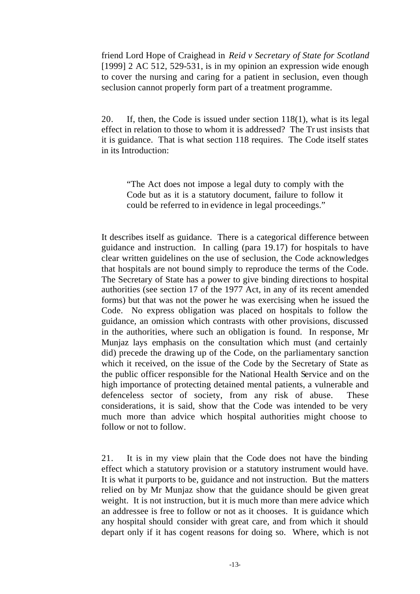friend Lord Hope of Craighead in *Reid v Secretary of State for Scotland* [1999] 2 AC 512, 529-531, is in my opinion an expression wide enough to cover the nursing and caring for a patient in seclusion, even though seclusion cannot properly form part of a treatment programme.

20. If, then, the Code is issued under section 118(1), what is its legal effect in relation to those to whom it is addressed? The Tr ust insists that it is guidance. That is what section 118 requires. The Code itself states in its Introduction:

"The Act does not impose a legal duty to comply with the Code but as it is a statutory document, failure to follow it could be referred to in evidence in legal proceedings."

It describes itself as guidance. There is a categorical difference between guidance and instruction. In calling (para 19.17) for hospitals to have clear written guidelines on the use of seclusion, the Code acknowledges that hospitals are not bound simply to reproduce the terms of the Code. The Secretary of State has a power to give binding directions to hospital authorities (see section 17 of the 1977 Act, in any of its recent amended forms) but that was not the power he was exercising when he issued the Code. No express obligation was placed on hospitals to follow the guidance, an omission which contrasts with other provisions, discussed in the authorities, where such an obligation is found. In response, Mr Munjaz lays emphasis on the consultation which must (and certainly did) precede the drawing up of the Code, on the parliamentary sanction which it received, on the issue of the Code by the Secretary of State as the public officer responsible for the National Health Service and on the high importance of protecting detained mental patients, a vulnerable and defenceless sector of society, from any risk of abuse. These considerations, it is said, show that the Code was intended to be very much more than advice which hospital authorities might choose to follow or not to follow.

21. It is in my view plain that the Code does not have the binding effect which a statutory provision or a statutory instrument would have. It is what it purports to be, guidance and not instruction. But the matters relied on by Mr Munjaz show that the guidance should be given great weight. It is not instruction, but it is much more than mere advice which an addressee is free to follow or not as it chooses. It is guidance which any hospital should consider with great care, and from which it should depart only if it has cogent reasons for doing so. Where, which is not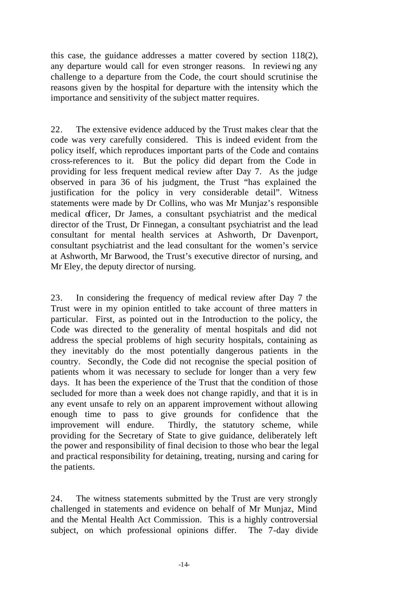this case, the guidance addresses a matter covered by section 118(2), any departure would call for even stronger reasons. In reviewi ng any challenge to a departure from the Code, the court should scrutinise the reasons given by the hospital for departure with the intensity which the importance and sensitivity of the subject matter requires.

22. The extensive evidence adduced by the Trust makes clear that the code was very carefully considered. This is indeed evident from the policy itself, which reproduces important parts of the Code and contains cross-references to it. But the policy did depart from the Code in providing for less frequent medical review after Day 7. As the judge observed in para 36 of his judgment, the Trust "has explained the justification for the policy in very considerable detail". Witness statements were made by Dr Collins, who was Mr Munjaz's responsible medical officer, Dr James, a consultant psychiatrist and the medical director of the Trust, Dr Finnegan, a consultant psychiatrist and the lead consultant for mental health services at Ashworth, Dr Davenport, consultant psychiatrist and the lead consultant for the women's service at Ashworth, Mr Barwood, the Trust's executive director of nursing, and Mr Eley, the deputy director of nursing.

23. In considering the frequency of medical review after Day 7 the Trust were in my opinion entitled to take account of three matters in particular. First, as pointed out in the Introduction to the policy, the Code was directed to the generality of mental hospitals and did not address the special problems of high security hospitals, containing as they inevitably do the most potentially dangerous patients in the country. Secondly, the Code did not recognise the special position of patients whom it was necessary to seclude for longer than a very few days. It has been the experience of the Trust that the condition of those secluded for more than a week does not change rapidly, and that it is in any event unsafe to rely on an apparent improvement without allowing enough time to pass to give grounds for confidence that the improvement will endure. Thirdly, the statutory scheme, while providing for the Secretary of State to give guidance, deliberately left the power and responsibility of final decision to those who bear the legal and practical responsibility for detaining, treating, nursing and caring for the patients.

24. The witness statements submitted by the Trust are very strongly challenged in statements and evidence on behalf of Mr Munjaz, Mind and the Mental Health Act Commission. This is a highly controversial subject, on which professional opinions differ. The 7-day divide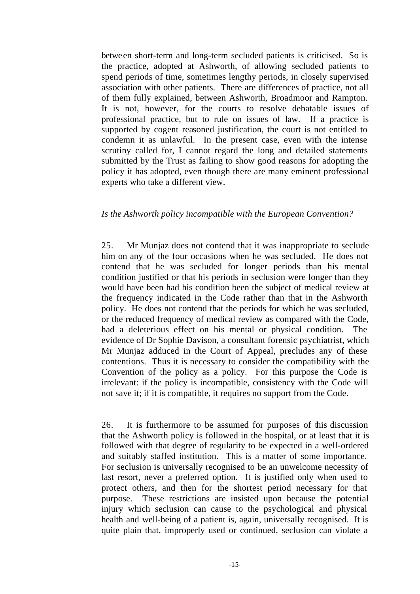between short-term and long-term secluded patients is criticised. So is the practice, adopted at Ashworth, of allowing secluded patients to spend periods of time, sometimes lengthy periods, in closely supervised association with other patients. There are differences of practice, not all of them fully explained, between Ashworth, Broadmoor and Rampton. It is not, however, for the courts to resolve debatable issues of professional practice, but to rule on issues of law. If a practice is supported by cogent reasoned justification, the court is not entitled to condemn it as unlawful. In the present case, even with the intense scrutiny called for, I cannot regard the long and detailed statements submitted by the Trust as failing to show good reasons for adopting the policy it has adopted, even though there are many eminent professional experts who take a different view.

#### *Is the Ashworth policy incompatible with the European Convention?*

25. Mr Munjaz does not contend that it was inappropriate to seclude him on any of the four occasions when he was secluded. He does not contend that he was secluded for longer periods than his mental condition justified or that his periods in seclusion were longer than they would have been had his condition been the subject of medical review at the frequency indicated in the Code rather than that in the Ashworth policy. He does not contend that the periods for which he was secluded, or the reduced frequency of medical review as compared with the Code, had a deleterious effect on his mental or physical condition. The evidence of Dr Sophie Davison, a consultant forensic psychiatrist, which Mr Munjaz adduced in the Court of Appeal, precludes any of these contentions. Thus it is necessary to consider the compatibility with the Convention of the policy as a policy. For this purpose the Code is irrelevant: if the policy is incompatible, consistency with the Code will not save it; if it is compatible, it requires no support from the Code.

26. It is furthermore to be assumed for purposes of this discussion that the Ashworth policy is followed in the hospital, or at least that it is followed with that degree of regularity to be expected in a well-ordered and suitably staffed institution. This is a matter of some importance. For seclusion is universally recognised to be an unwelcome necessity of last resort, never a preferred option. It is justified only when used to protect others, and then for the shortest period necessary for that purpose. These restrictions are insisted upon because the potential injury which seclusion can cause to the psychological and physical health and well-being of a patient is, again, universally recognised. It is quite plain that, improperly used or continued, seclusion can violate a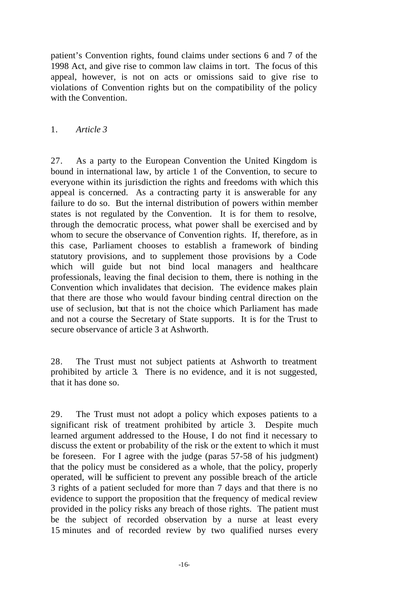patient's Convention rights, found claims under sections 6 and 7 of the 1998 Act, and give rise to common law claims in tort. The focus of this appeal, however, is not on acts or omissions said to give rise to violations of Convention rights but on the compatibility of the policy with the Convention.

### 1. *Article 3*

27. As a party to the European Convention the United Kingdom is bound in international law, by article 1 of the Convention, to secure to everyone within its jurisdiction the rights and freedoms with which this appeal is concerned. As a contracting party it is answerable for any failure to do so. But the internal distribution of powers within member states is not regulated by the Convention. It is for them to resolve, through the democratic process, what power shall be exercised and by whom to secure the observance of Convention rights. If, therefore, as in this case, Parliament chooses to establish a framework of binding statutory provisions, and to supplement those provisions by a Code which will guide but not bind local managers and healthcare professionals, leaving the final decision to them, there is nothing in the Convention which invalidates that decision. The evidence makes plain that there are those who would favour binding central direction on the use of seclusion, but that is not the choice which Parliament has made and not a course the Secretary of State supports. It is for the Trust to secure observance of article 3 at Ashworth.

28. The Trust must not subject patients at Ashworth to treatment prohibited by article 3. There is no evidence, and it is not suggested, that it has done so.

29. The Trust must not adopt a policy which exposes patients to a significant risk of treatment prohibited by article 3. Despite much learned argument addressed to the House, I do not find it necessary to discuss the extent or probability of the risk or the extent to which it must be foreseen. For I agree with the judge (paras 57-58 of his judgment) that the policy must be considered as a whole, that the policy, properly operated, will be sufficient to prevent any possible breach of the article 3 rights of a patient secluded for more than 7 days and that there is no evidence to support the proposition that the frequency of medical review provided in the policy risks any breach of those rights. The patient must be the subject of recorded observation by a nurse at least every 15 minutes and of recorded review by two qualified nurses every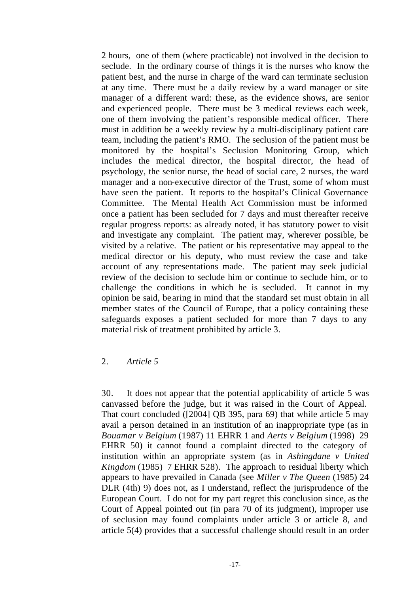2 hours, one of them (where practicable) not involved in the decision to seclude. In the ordinary course of things it is the nurses who know the patient best, and the nurse in charge of the ward can terminate seclusion at any time. There must be a daily review by a ward manager or site manager of a different ward: these, as the evidence shows, are senior and experienced people. There must be 3 medical reviews each week, one of them involving the patient's responsible medical officer. There must in addition be a weekly review by a multi-disciplinary patient care team, including the patient's RMO. The seclusion of the patient must be monitored by the hospital's Seclusion Monitoring Group, which includes the medical director, the hospital director, the head of psychology, the senior nurse, the head of social care, 2 nurses, the ward manager and a non-executive director of the Trust, some of whom must have seen the patient. It reports to the hospital's Clinical Governance Committee. The Mental Health Act Commission must be informed once a patient has been secluded for 7 days and must thereafter receive regular progress reports: as already noted, it has statutory power to visit and investigate any complaint. The patient may, wherever possible, be visited by a relative. The patient or his representative may appeal to the medical director or his deputy, who must review the case and take account of any representations made. The patient may seek judicial review of the decision to seclude him or continue to seclude him, or to challenge the conditions in which he is secluded. It cannot in my opinion be said, be aring in mind that the standard set must obtain in all member states of the Council of Europe, that a policy containing these safeguards exposes a patient secluded for more than 7 days to any material risk of treatment prohibited by article 3.

#### 2. *Article 5*

30. It does not appear that the potential applicability of article 5 was canvassed before the judge, but it was raised in the Court of Appeal. That court concluded ([2004] QB 395, para 69) that while article 5 may avail a person detained in an institution of an inappropriate type (as in *Bouamar v Belgium* (1987) 11 EHRR 1 and *Aerts v Belgium* (1998) 29 EHRR 50) it cannot found a complaint directed to the category of institution within an appropriate system (as in *Ashingdane v United Kingdom* (1985) 7 EHRR 528). The approach to residual liberty which appears to have prevailed in Canada (see *Miller v The Queen* (1985) 24 DLR (4th) 9) does not, as I understand, reflect the jurisprudence of the European Court. I do not for my part regret this conclusion since, as the Court of Appeal pointed out (in para 70 of its judgment), improper use of seclusion may found complaints under article 3 or article 8, and article 5(4) provides that a successful challenge should result in an order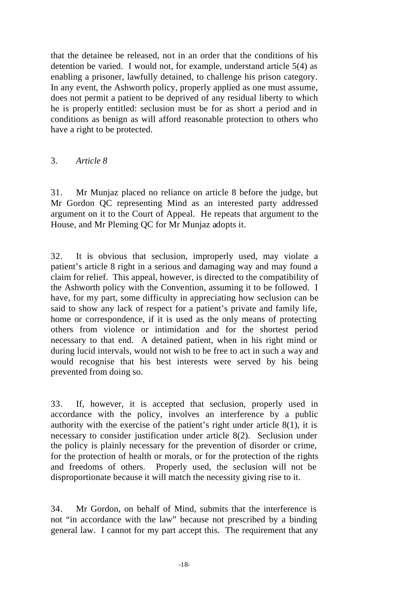that the detainee be released, not in an order that the conditions of his detention be varied. I would not, for example, understand article 5(4) as enabling a prisoner, lawfully detained, to challenge his prison category. In any event, the Ashworth policy, properly applied as one must assume, does not permit a patient to be deprived of any residual liberty to which he is properly entitled: seclusion must be for as short a period and in conditions as benign as will afford reasonable protection to others who have a right to be protected.

#### 3. *Article 8*

31. Mr Munjaz placed no reliance on article 8 before the judge, but Mr Gordon QC representing Mind as an interested party addressed argument on it to the Court of Appeal. He repeats that argument to the House, and Mr Pleming QC for Mr Munjaz adopts it.

32. It is obvious that seclusion, improperly used, may violate a patient's article 8 right in a serious and damaging way and may found a claim for relief. This appeal, however, is directed to the compatibility of the Ashworth policy with the Convention, assuming it to be followed. I have, for my part, some difficulty in appreciating how seclusion can be said to show any lack of respect for a patient's private and family life, home or correspondence, if it is used as the only means of protecting others from violence or intimidation and for the shortest period necessary to that end. A detained patient, when in his right mind or during lucid intervals, would not wish to be free to act in such a way and would recognise that his best interests were served by his being prevented from doing so.

33. If, however, it is accepted that seclusion, properly used in accordance with the policy, involves an interference by a public authority with the exercise of the patient's right under article 8(1), it is necessary to consider justification under article 8(2). Seclusion under the policy is plainly necessary for the prevention of disorder or crime, for the protection of health or morals, or for the protection of the rights and freedoms of others. Properly used, the seclusion will not be disproportionate because it will match the necessity giving rise to it.

34. Mr Gordon, on behalf of Mind, submits that the interference is not "in accordance with the law" because not prescribed by a binding general law. I cannot for my part accept this. The requirement that any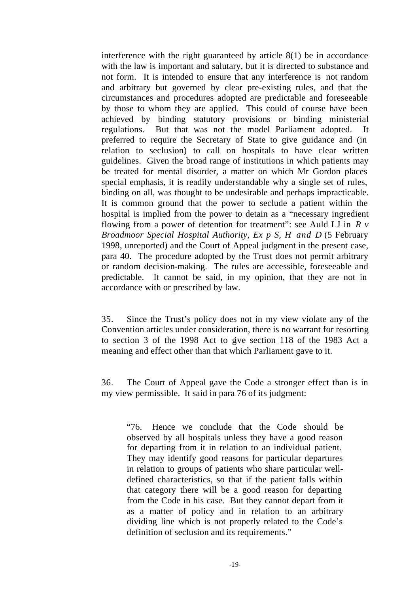interference with the right guaranteed by article 8(1) be in accordance with the law is important and salutary, but it is directed to substance and not form. It is intended to ensure that any interference is not random and arbitrary but governed by clear pre-existing rules, and that the circumstances and procedures adopted are predictable and foreseeable by those to whom they are applied. This could of course have been achieved by binding statutory provisions or binding ministerial regulations. But that was not the model Parliament adopted. It preferred to require the Secretary of State to give guidance and (in relation to seclusion) to call on hospitals to have clear written guidelines. Given the broad range of institutions in which patients may be treated for mental disorder, a matter on which Mr Gordon places special emphasis, it is readily understandable why a single set of rules, binding on all, was thought to be undesirable and perhaps impracticable. It is common ground that the power to seclude a patient within the hospital is implied from the power to detain as a "necessary ingredient flowing from a power of detention for treatment": see Auld LJ in *R v Broadmoor Special Hospital Authority, Ex p S, H and D* (5 February 1998, unreported) and the Court of Appeal judgment in the present case, para 40. The procedure adopted by the Trust does not permit arbitrary or random decision-making. The rules are accessible, foreseeable and predictable. It cannot be said, in my opinion, that they are not in accordance with or prescribed by law.

35. Since the Trust's policy does not in my view violate any of the Convention articles under consideration, there is no warrant for resorting to section 3 of the 1998 Act to give section 118 of the 1983 Act a meaning and effect other than that which Parliament gave to it.

36. The Court of Appeal gave the Code a stronger effect than is in my view permissible. It said in para 76 of its judgment:

"76. Hence we conclude that the Code should be observed by all hospitals unless they have a good reason for departing from it in relation to an individual patient. They may identify good reasons for particular departures in relation to groups of patients who share particular welldefined characteristics, so that if the patient falls within that category there will be a good reason for departing from the Code in his case. But they cannot depart from it as a matter of policy and in relation to an arbitrary dividing line which is not properly related to the Code's definition of seclusion and its requirements."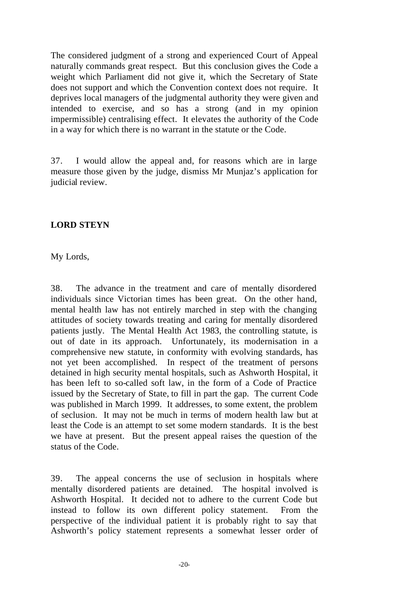The considered judgment of a strong and experienced Court of Appeal naturally commands great respect. But this conclusion gives the Code a weight which Parliament did not give it, which the Secretary of State does not support and which the Convention context does not require. It deprives local managers of the judgmental authority they were given and intended to exercise, and so has a strong (and in my opinion impermissible) centralising effect. It elevates the authority of the Code in a way for which there is no warrant in the statute or the Code.

37. I would allow the appeal and, for reasons which are in large measure those given by the judge, dismiss Mr Munjaz's application for judicial review.

# **LORD STEYN**

My Lords,

38. The advance in the treatment and care of mentally disordered individuals since Victorian times has been great. On the other hand, mental health law has not entirely marched in step with the changing attitudes of society towards treating and caring for mentally disordered patients justly. The Mental Health Act 1983, the controlling statute, is out of date in its approach. Unfortunately, its modernisation in a comprehensive new statute, in conformity with evolving standards, has not yet been accomplished. In respect of the treatment of persons detained in high security mental hospitals, such as Ashworth Hospital, it has been left to so-called soft law, in the form of a Code of Practice issued by the Secretary of State, to fill in part the gap. The current Code was published in March 1999. It addresses, to some extent, the problem of seclusion. It may not be much in terms of modern health law but at least the Code is an attempt to set some modern standards. It is the best we have at present. But the present appeal raises the question of the status of the Code.

39. The appeal concerns the use of seclusion in hospitals where mentally disordered patients are detained. The hospital involved is Ashworth Hospital. It decided not to adhere to the current Code but instead to follow its own different policy statement. From the perspective of the individual patient it is probably right to say that Ashworth's policy statement represents a somewhat lesser order of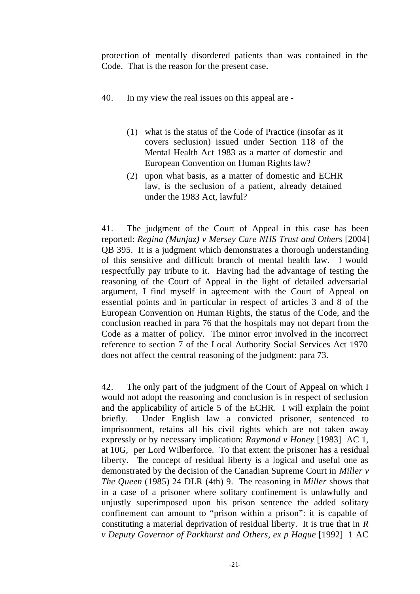protection of mentally disordered patients than was contained in the Code. That is the reason for the present case.

- 40. In my view the real issues on this appeal are
	- (1) what is the status of the Code of Practice (insofar as it covers seclusion) issued under Section 118 of the Mental Health Act 1983 as a matter of domestic and European Convention on Human Rights law?
	- (2) upon what basis, as a matter of domestic and ECHR law, is the seclusion of a patient, already detained under the 1983 Act, lawful?

41. The judgment of the Court of Appeal in this case has been reported: *Regina (Munjaz) v Mersey Care NHS Trust and Others* [2004] QB 395. It is a judgment which demonstrates a thorough understanding of this sensitive and difficult branch of mental health law. I would respectfully pay tribute to it. Having had the advantage of testing the reasoning of the Court of Appeal in the light of detailed adversarial argument, I find myself in agreement with the Court of Appeal on essential points and in particular in respect of articles 3 and 8 of the European Convention on Human Rights, the status of the Code, and the conclusion reached in para 76 that the hospitals may not depart from the Code as a matter of policy. The minor error involved in the incorrect reference to section 7 of the Local Authority Social Services Act 1970 does not affect the central reasoning of the judgment: para 73.

42. The only part of the judgment of the Court of Appeal on which I would not adopt the reasoning and conclusion is in respect of seclusion and the applicability of article 5 of the ECHR. I will explain the point briefly. Under English law a convicted prisoner, sentenced to imprisonment, retains all his civil rights which are not taken away expressly or by necessary implication: *Raymond v Honey* [1983] AC 1, at 10G, per Lord Wilberforce. To that extent the prisoner has a residual liberty. The concept of residual liberty is a logical and useful one as demonstrated by the decision of the Canadian Supreme Court in *Miller v The Queen* (1985) 24 DLR (4th) 9. The reasoning in *Miller* shows that in a case of a prisoner where solitary confinement is unlawfully and unjustly superimposed upon his prison sentence the added solitary confinement can amount to "prison within a prison": it is capable of constituting a material deprivation of residual liberty. It is true that in *R v Deputy Governor of Parkhurst and Others, ex p Hague* [1992] 1 AC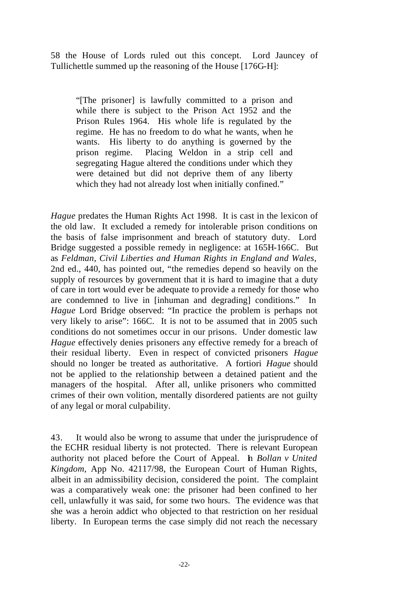58 the House of Lords ruled out this concept. Lord Jauncey of Tullichettle summed up the reasoning of the House [176G-H]:

"[The prisoner] is lawfully committed to a prison and while there is subject to the Prison Act 1952 and the Prison Rules 1964. His whole life is regulated by the regime. He has no freedom to do what he wants, when he wants. His liberty to do anything is governed by the prison regime. Placing Weldon in a strip cell and segregating Hague altered the conditions under which they were detained but did not deprive them of any liberty which they had not already lost when initially confined."

*Hague* predates the Human Rights Act 1998. It is cast in the lexicon of the old law. It excluded a remedy for intolerable prison conditions on the basis of false imprisonment and breach of statutory duty. Lord Bridge suggested a possible remedy in negligence: at 165H-166C. But as *Feldman, Civil Liberties and Human Rights in England and Wales,*  2nd ed., 440, has pointed out, "the remedies depend so heavily on the supply of resources by government that it is hard to imagine that a duty of care in tort would ever be adequate to provide a remedy for those who are condemned to live in [inhuman and degrading] conditions." In *Hague* Lord Bridge observed: "In practice the problem is perhaps not very likely to arise": 166C. It is not to be assumed that in 2005 such conditions do not sometimes occur in our prisons. Under domestic law *Hague* effectively denies prisoners any effective remedy for a breach of their residual liberty. Even in respect of convicted prisoners *Hague*  should no longer be treated as authoritative. A fortiori *Hague* should not be applied to the relationship between a detained patient and the managers of the hospital. After all, unlike prisoners who committed crimes of their own volition, mentally disordered patients are not guilty of any legal or moral culpability.

43. It would also be wrong to assume that under the jurisprudence of the ECHR residual liberty is not protected. There is relevant European authority not placed before the Court of Appeal. In *Bollan v United Kingdom,* App No. 42117/98, the European Court of Human Rights, albeit in an admissibility decision, considered the point. The complaint was a comparatively weak one: the prisoner had been confined to her cell, unlawfully it was said, for some two hours. The evidence was that she was a heroin addict who objected to that restriction on her residual liberty. In European terms the case simply did not reach the necessary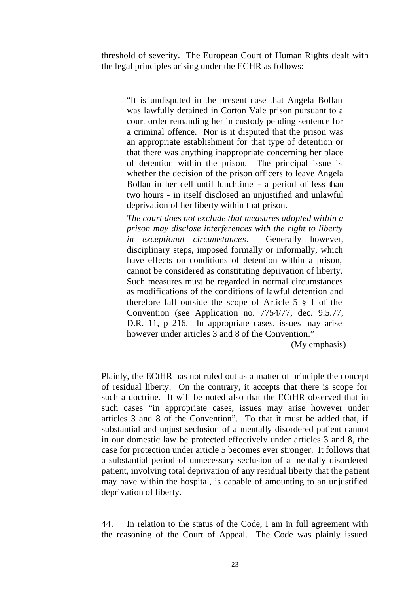threshold of severity. The European Court of Human Rights dealt with the legal principles arising under the ECHR as follows:

"It is undisputed in the present case that Angela Bollan was lawfully detained in Corton Vale prison pursuant to a court order remanding her in custody pending sentence for a criminal offence. Nor is it disputed that the prison was an appropriate establishment for that type of detention or that there was anything inappropriate concerning her place of detention within the prison. The principal issue is whether the decision of the prison officers to leave Angela Bollan in her cell until lunchtime - a period of less than two hours - in itself disclosed an unjustified and unlawful deprivation of her liberty within that prison.

*The court does not exclude that measures adopted within a prison may disclose interferences with the right to liberty in exceptional circumstances*. Generally however, disciplinary steps, imposed formally or informally, which have effects on conditions of detention within a prison, cannot be considered as constituting deprivation of liberty. Such measures must be regarded in normal circumstances as modifications of the conditions of lawful detention and therefore fall outside the scope of Article 5 § 1 of the Convention (see Application no. 7754/77, dec. 9.5.77, D.R. 11, p 216. In appropriate cases, issues may arise however under articles 3 and 8 of the Convention."

(My emphasis)

Plainly, the ECtHR has not ruled out as a matter of principle the concept of residual liberty. On the contrary, it accepts that there is scope for such a doctrine. It will be noted also that the ECtHR observed that in such cases "in appropriate cases, issues may arise however under articles 3 and 8 of the Convention". To that it must be added that, if substantial and unjust seclusion of a mentally disordered patient cannot in our domestic law be protected effectively under articles 3 and 8, the case for protection under article 5 becomes ever stronger. It follows that a substantial period of unnecessary seclusion of a mentally disordered patient, involving total deprivation of any residual liberty that the patient may have within the hospital, is capable of amounting to an unjustified deprivation of liberty.

44. In relation to the status of the Code, I am in full agreement with the reasoning of the Court of Appeal. The Code was plainly issued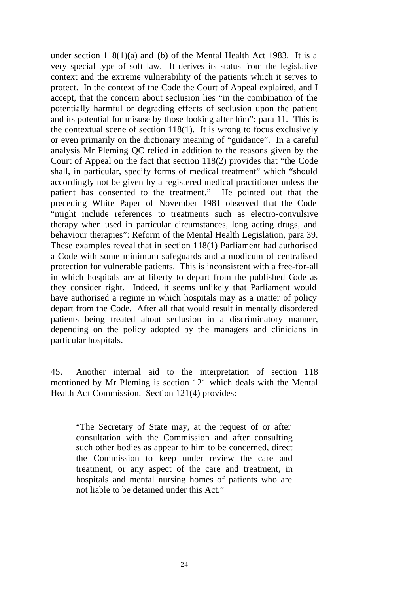under section 118(1)(a) and (b) of the Mental Health Act 1983. It is a very special type of soft law. It derives its status from the legislative context and the extreme vulnerability of the patients which it serves to protect. In the context of the Code the Court of Appeal explained, and I accept, that the concern about seclusion lies "in the combination of the potentially harmful or degrading effects of seclusion upon the patient and its potential for misuse by those looking after him": para 11. This is the contextual scene of section  $118(1)$ . It is wrong to focus exclusively or even primarily on the dictionary meaning of "guidance". In a careful analysis Mr Pleming QC relied in addition to the reasons given by the Court of Appeal on the fact that section 118(2) provides that "the Code shall, in particular, specify forms of medical treatment" which "should accordingly not be given by a registered medical practitioner unless the patient has consented to the treatment." He pointed out that the preceding White Paper of November 1981 observed that the Code "might include references to treatments such as electro-convulsive therapy when used in particular circumstances, long acting drugs, and behaviour therapies": Reform of the Mental Health Legislation, para 39. These examples reveal that in section 118(1) Parliament had authorised a Code with some minimum safeguards and a modicum of centralised protection for vulnerable patients. This is inconsistent with a free-for-all in which hospitals are at liberty to depart from the published Code as they consider right. Indeed, it seems unlikely that Parliament would have authorised a regime in which hospitals may as a matter of policy depart from the Code. After all that would result in mentally disordered patients being treated about seclusion in a discriminatory manner, depending on the policy adopted by the managers and clinicians in particular hospitals.

45. Another internal aid to the interpretation of section 118 mentioned by Mr Pleming is section 121 which deals with the Mental Health Act Commission. Section 121(4) provides:

"The Secretary of State may, at the request of or after consultation with the Commission and after consulting such other bodies as appear to him to be concerned, direct the Commission to keep under review the care and treatment, or any aspect of the care and treatment, in hospitals and mental nursing homes of patients who are not liable to be detained under this Act."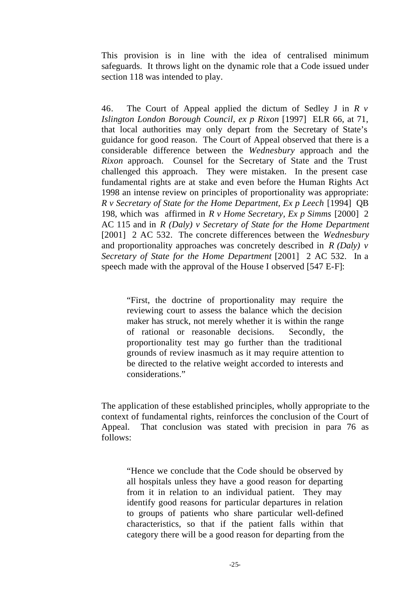This provision is in line with the idea of centralised minimum safeguards. It throws light on the dynamic role that a Code issued under section 118 was intended to play.

46. The Court of Appeal applied the dictum of Sedley J in *R v Islington London Borough Council, ex p Rixon* [1997] ELR 66, at 71, that local authorities may only depart from the Secretary of State's guidance for good reason. The Court of Appeal observed that there is a considerable difference between the *Wednesbury* approach and the *Rixon* approach. Counsel for the Secretary of State and the Trust challenged this approach. They were mistaken. In the present case fundamental rights are at stake and even before the Human Rights Act 1998 an intense review on principles of proportionality was appropriate: *R v Secretary of State for the Home Department, Ex p Leech* [1994] QB 198, which was affirmed in *R v Home Secretary, Ex p Simms* [2000] 2 AC 115 and in *R (Daly) v Secretary of State for the Home Department* [2001] 2 AC 532. The concrete differences between the *Wednesbury* and proportionality approaches was concretely described in *R (Daly) v Secretary of State for the Home Department* [2001] 2 AC 532. In a speech made with the approval of the House I observed [547 E-F]:

"First, the doctrine of proportionality may require the reviewing court to assess the balance which the decision maker has struck, not merely whether it is within the range of rational or reasonable decisions. Secondly, the proportionality test may go further than the traditional grounds of review inasmuch as it may require attention to be directed to the relative weight accorded to interests and considerations."

The application of these established principles, wholly appropriate to the context of fundamental rights, reinforces the conclusion of the Court of Appeal. That conclusion was stated with precision in para 76 as follows:

"Hence we conclude that the Code should be observed by all hospitals unless they have a good reason for departing from it in relation to an individual patient. They may identify good reasons for particular departures in relation to groups of patients who share particular well-defined characteristics, so that if the patient falls within that category there will be a good reason for departing from the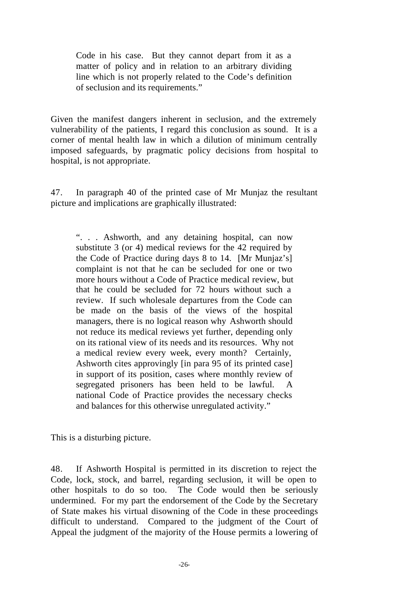Code in his case. But they cannot depart from it as a matter of policy and in relation to an arbitrary dividing line which is not properly related to the Code's definition of seclusion and its requirements."

Given the manifest dangers inherent in seclusion, and the extremely vulnerability of the patients, I regard this conclusion as sound. It is a corner of mental health law in which a dilution of minimum centrally imposed safeguards, by pragmatic policy decisions from hospital to hospital, is not appropriate.

47. In paragraph 40 of the printed case of Mr Munjaz the resultant picture and implications are graphically illustrated:

". . . Ashworth, and any detaining hospital, can now substitute 3 (or 4) medical reviews for the 42 required by the Code of Practice during days 8 to 14. [Mr Munjaz's] complaint is not that he can be secluded for one or two more hours without a Code of Practice medical review, but that he could be secluded for 72 hours without such a review. If such wholesale departures from the Code can be made on the basis of the views of the hospital managers, there is no logical reason why Ashworth should not reduce its medical reviews yet further, depending only on its rational view of its needs and its resources. Why not a medical review every week, every month? Certainly, Ashworth cites approvingly [in para 95 of its printed case] in support of its position, cases where monthly review of segregated prisoners has been held to be lawful. A national Code of Practice provides the necessary checks and balances for this otherwise unregulated activity."

This is a disturbing picture.

48. If Ashworth Hospital is permitted in its discretion to reject the Code, lock, stock, and barrel, regarding seclusion, it will be open to other hospitals to do so too. The Code would then be seriously undermined. For my part the endorsement of the Code by the Secretary of State makes his virtual disowning of the Code in these proceedings difficult to understand. Compared to the judgment of the Court of Appeal the judgment of the majority of the House permits a lowering of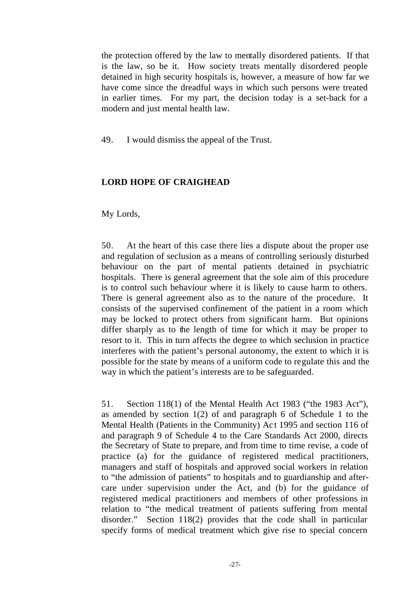the protection offered by the law to mentally disordered patients. If that is the law, so be it. How society treats mentally disordered people detained in high security hospitals is, however, a measure of how far we have come since the dreadful ways in which such persons were treated in earlier times. For my part, the decision today is a set-back for a modern and just mental health law.

49. I would dismiss the appeal of the Trust.

# **LORD HOPE OF CRAIGHEAD**

My Lords,

50. At the heart of this case there lies a dispute about the proper use and regulation of seclusion as a means of controlling seriously disturbed behaviour on the part of mental patients detained in psychiatric hospitals. There is general agreement that the sole aim of this procedure is to control such behaviour where it is likely to cause harm to others. There is general agreement also as to the nature of the procedure. It consists of the supervised confinement of the patient in a room which may be locked to protect others from significant harm. But opinions differ sharply as to the length of time for which it may be proper to resort to it. This in turn affects the degree to which seclusion in practice interferes with the patient's personal autonomy, the extent to which it is possible for the state by means of a uniform code to regulate this and the way in which the patient's interests are to be safeguarded.

51. Section 118(1) of the Mental Health Act 1983 ("the 1983 Act"), as amended by section 1(2) of and paragraph 6 of Schedule 1 to the Mental Health (Patients in the Community) Ac t 1995 and section 116 of and paragraph 9 of Schedule 4 to the Care Standards Act 2000, directs the Secretary of State to prepare, and from time to time revise, a code of practice (a) for the guidance of registered medical practitioners, managers and staff of hospitals and approved social workers in relation to "the admission of patients" to hospitals and to guardianship and aftercare under supervision under the Act, and (b) for the guidance of registered medical practitioners and members of other professions in relation to "the medical treatment of patients suffering from mental disorder." Section 118(2) provides that the code shall in particular specify forms of medical treatment which give rise to special concern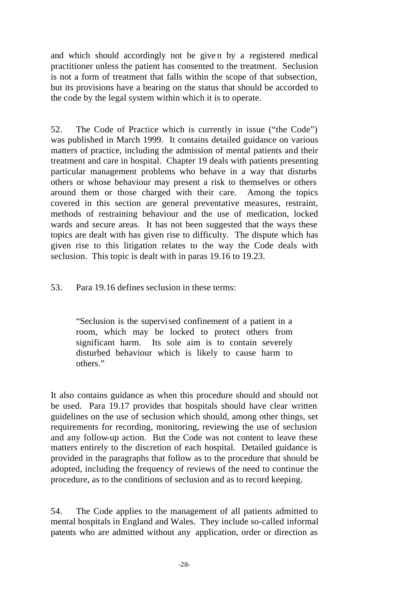and which should accordingly not be give n by a registered medical practitioner unless the patient has consented to the treatment. Seclusion is not a form of treatment that falls within the scope of that subsection, but its provisions have a bearing on the status that should be accorded to the code by the legal system within which it is to operate.

52. The Code of Practice which is currently in issue ("the Code") was published in March 1999. It contains detailed guidance on various matters of practice, including the admission of mental patients and their treatment and care in hospital. Chapter 19 deals with patients presenting particular management problems who behave in a way that disturbs others or whose behaviour may present a risk to themselves or others around them or those charged with their care. Among the topics covered in this section are general preventative measures, restraint, methods of restraining behaviour and the use of medication, locked wards and secure areas. It has not been suggested that the ways these topics are dealt with has given rise to difficulty. The dispute which has given rise to this litigation relates to the way the Code deals with seclusion. This topic is dealt with in paras 19.16 to 19.23.

53. Para 19.16 defines seclusion in these terms:

"Seclusion is the supervised confinement of a patient in a room, which may be locked to protect others from significant harm. Its sole aim is to contain severely disturbed behaviour which is likely to cause harm to others."

It also contains guidance as when this procedure should and should not be used. Para 19.17 provides that hospitals should have clear written guidelines on the use of seclusion which should, among other things, set requirements for recording, monitoring, reviewing the use of seclusion and any follow-up action. But the Code was not content to leave these matters entirely to the discretion of each hospital. Detailed guidance is provided in the paragraphs that follow as to the procedure that should be adopted, including the frequency of reviews of the need to continue the procedure, as to the conditions of seclusion and as to record keeping.

54. The Code applies to the management of all patients admitted to mental hospitals in England and Wales. They include so-called informal patents who are admitted without any application, order or direction as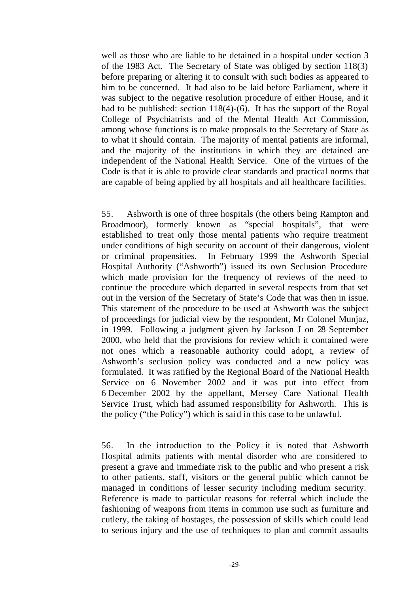well as those who are liable to be detained in a hospital under section 3 of the 1983 Act. The Secretary of State was obliged by section 118(3) before preparing or altering it to consult with such bodies as appeared to him to be concerned. It had also to be laid before Parliament, where it was subject to the negative resolution procedure of either House, and it had to be published: section 118(4)-(6). It has the support of the Royal College of Psychiatrists and of the Mental Health Act Commission, among whose functions is to make proposals to the Secretary of State as to what it should contain. The majority of mental patients are informal, and the majority of the institutions in which they are detained are independent of the National Health Service. One of the virtues of the Code is that it is able to provide clear standards and practical norms that are capable of being applied by all hospitals and all healthcare facilities.

55. Ashworth is one of three hospitals (the others being Rampton and Broadmoor), formerly known as "special hospitals", that were established to treat only those mental patients who require treatment under conditions of high security on account of their dangerous, violent or criminal propensities. In February 1999 the Ashworth Special Hospital Authority ("Ashworth") issued its own Seclusion Procedure which made provision for the frequency of reviews of the need to continue the procedure which departed in several respects from that set out in the version of the Secretary of State's Code that was then in issue. This statement of the procedure to be used at Ashworth was the subject of proceedings for judicial view by the respondent, Mr Colonel Munjaz, in 1999. Following a judgment given by Jackson J on 28 September 2000, who held that the provisions for review which it contained were not ones which a reasonable authority could adopt, a review of Ashworth's seclusion policy was conducted and a new policy was formulated. It was ratified by the Regional Board of the National Health Service on 6 November 2002 and it was put into effect from 6 December 2002 by the appellant, Mersey Care National Health Service Trust, which had assumed responsibility for Ashworth. This is the policy ("the Policy") which is said in this case to be unlawful.

56. In the introduction to the Policy it is noted that Ashworth Hospital admits patients with mental disorder who are considered to present a grave and immediate risk to the public and who present a risk to other patients, staff, visitors or the general public which cannot be managed in conditions of lesser security including medium security. Reference is made to particular reasons for referral which include the fashioning of weapons from items in common use such as furniture and cutlery, the taking of hostages, the possession of skills which could lead to serious injury and the use of techniques to plan and commit assaults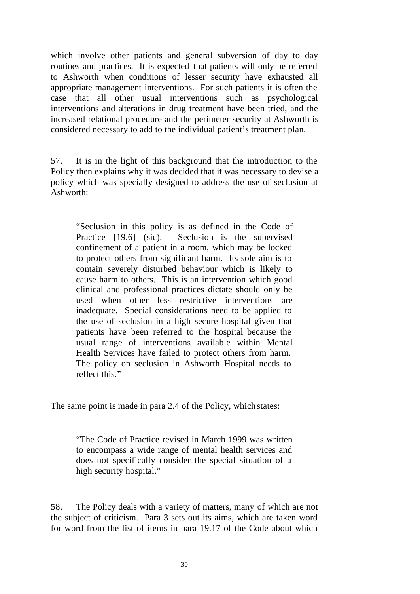which involve other patients and general subversion of day to day routines and practices. It is expected that patients will only be referred to Ashworth when conditions of lesser security have exhausted all appropriate management interventions. For such patients it is often the case that all other usual interventions such as psychological interventions and alterations in drug treatment have been tried, and the increased relational procedure and the perimeter security at Ashworth is considered necessary to add to the individual patient's treatment plan.

57. It is in the light of this background that the introduction to the Policy then explains why it was decided that it was necessary to devise a policy which was specially designed to address the use of seclusion at Ashworth:

"Seclusion in this policy is as defined in the Code of Practice [19.6] (sic). Seclusion is the supervised confinement of a patient in a room, which may be locked to protect others from significant harm. Its sole aim is to contain severely disturbed behaviour which is likely to cause harm to others. This is an intervention which good clinical and professional practices dictate should only be used when other less restrictive interventions are inadequate. Special considerations need to be applied to the use of seclusion in a high secure hospital given that patients have been referred to the hospital because the usual range of interventions available within Mental Health Services have failed to protect others from harm. The policy on seclusion in Ashworth Hospital needs to reflect this."

The same point is made in para 2.4 of the Policy, which states:

"The Code of Practice revised in March 1999 was written to encompass a wide range of mental health services and does not specifically consider the special situation of a high security hospital."

58. The Policy deals with a variety of matters, many of which are not the subject of criticism. Para 3 sets out its aims, which are taken word for word from the list of items in para 19.17 of the Code about which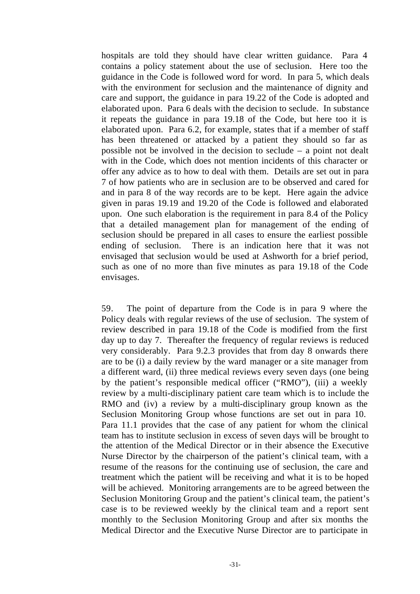hospitals are told they should have clear written guidance. Para 4 contains a policy statement about the use of seclusion. Here too the guidance in the Code is followed word for word. In para 5, which deals with the environment for seclusion and the maintenance of dignity and care and support, the guidance in para 19.22 of the Code is adopted and elaborated upon. Para 6 deals with the decision to seclude. In substance it repeats the guidance in para 19.18 of the Code, but here too it is elaborated upon. Para 6.2, for example, states that if a member of staff has been threatened or attacked by a patient they should so far as possible not be involved in the decision to seclude – a point not dealt with in the Code, which does not mention incidents of this character or offer any advice as to how to deal with them. Details are set out in para 7 of how patients who are in seclusion are to be observed and cared for and in para 8 of the way records are to be kept. Here again the advice given in paras 19.19 and 19.20 of the Code is followed and elaborated upon. One such elaboration is the requirement in para 8.4 of the Policy that a detailed management plan for management of the ending of seclusion should be prepared in all cases to ensure the earliest possible ending of seclusion. There is an indication here that it was not envisaged that seclusion would be used at Ashworth for a brief period, such as one of no more than five minutes as para 19.18 of the Code envisages.

59. The point of departure from the Code is in para 9 where the Policy deals with regular reviews of the use of seclusion. The system of review described in para 19.18 of the Code is modified from the first day up to day 7. Thereafter the frequency of regular reviews is reduced very considerably. Para 9.2.3 provides that from day 8 onwards there are to be (i) a daily review by the ward manager or a site manager from a different ward, (ii) three medical reviews every seven days (one being by the patient's responsible medical officer ("RMO"), (iii) a weekly review by a multi-disciplinary patient care team which is to include the RMO and (iv) a review by a multi-disciplinary group known as the Seclusion Monitoring Group whose functions are set out in para 10. Para 11.1 provides that the case of any patient for whom the clinical team has to institute seclusion in excess of seven days will be brought to the attention of the Medical Director or in their absence the Executive Nurse Director by the chairperson of the patient's clinical team, with a resume of the reasons for the continuing use of seclusion, the care and treatment which the patient will be receiving and what it is to be hoped will be achieved. Monitoring arrangements are to be agreed between the Seclusion Monitoring Group and the patient's clinical team, the patient's case is to be reviewed weekly by the clinical team and a report sent monthly to the Seclusion Monitoring Group and after six months the Medical Director and the Executive Nurse Director are to participate in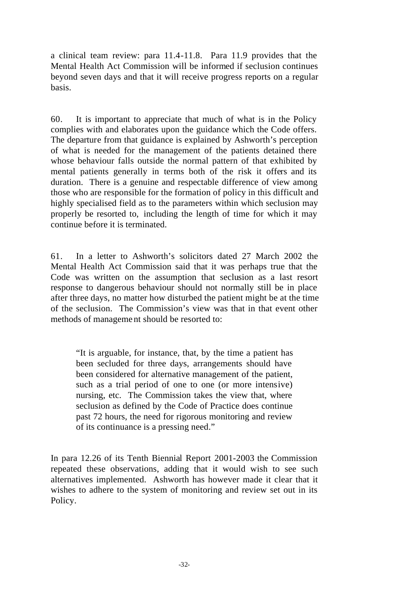a clinical team review: para 11.4-11.8. Para 11.9 provides that the Mental Health Act Commission will be informed if seclusion continues beyond seven days and that it will receive progress reports on a regular basis.

60. It is important to appreciate that much of what is in the Policy complies with and elaborates upon the guidance which the Code offers. The departure from that guidance is explained by Ashworth's perception of what is needed for the management of the patients detained there whose behaviour falls outside the normal pattern of that exhibited by mental patients generally in terms both of the risk it offers and its duration. There is a genuine and respectable difference of view among those who are responsible for the formation of policy in this difficult and highly specialised field as to the parameters within which seclusion may properly be resorted to, including the length of time for which it may continue before it is terminated.

61. In a letter to Ashworth's solicitors dated 27 March 2002 the Mental Health Act Commission said that it was perhaps true that the Code was written on the assumption that seclusion as a last resort response to dangerous behaviour should not normally still be in place after three days, no matter how disturbed the patient might be at the time of the seclusion. The Commission's view was that in that event other methods of management should be resorted to:

"It is arguable, for instance, that, by the time a patient has been secluded for three days, arrangements should have been considered for alternative management of the patient, such as a trial period of one to one (or more intensive) nursing, etc. The Commission takes the view that, where seclusion as defined by the Code of Practice does continue past 72 hours, the need for rigorous monitoring and review of its continuance is a pressing need."

In para 12.26 of its Tenth Biennial Report 2001-2003 the Commission repeated these observations, adding that it would wish to see such alternatives implemented. Ashworth has however made it clear that it wishes to adhere to the system of monitoring and review set out in its Policy.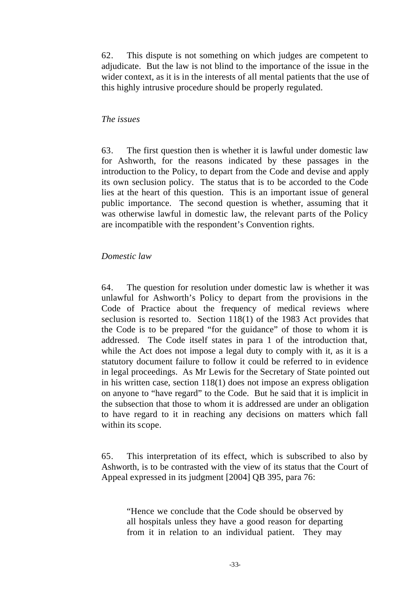62. This dispute is not something on which judges are competent to adjudicate. But the law is not blind to the importance of the issue in the wider context, as it is in the interests of all mental patients that the use of this highly intrusive procedure should be properly regulated.

#### *The issues*

63. The first question then is whether it is lawful under domestic law for Ashworth, for the reasons indicated by these passages in the introduction to the Policy, to depart from the Code and devise and apply its own seclusion policy. The status that is to be accorded to the Code lies at the heart of this question. This is an important issue of general public importance. The second question is whether, assuming that it was otherwise lawful in domestic law, the relevant parts of the Policy are incompatible with the respondent's Convention rights.

#### *Domestic law*

64. The question for resolution under domestic law is whether it was unlawful for Ashworth's Policy to depart from the provisions in the Code of Practice about the frequency of medical reviews where seclusion is resorted to. Section 118(1) of the 1983 Act provides that the Code is to be prepared "for the guidance" of those to whom it is addressed. The Code itself states in para 1 of the introduction that, while the Act does not impose a legal duty to comply with it, as it is a statutory document failure to follow it could be referred to in evidence in legal proceedings. As Mr Lewis for the Secretary of State pointed out in his written case, section 118(1) does not impose an express obligation on anyone to "have regard" to the Code. But he said that it is implicit in the subsection that those to whom it is addressed are under an obligation to have regard to it in reaching any decisions on matters which fall within its scope.

65. This interpretation of its effect, which is subscribed to also by Ashworth, is to be contrasted with the view of its status that the Court of Appeal expressed in its judgment [2004] QB 395, para 76:

"Hence we conclude that the Code should be observed by all hospitals unless they have a good reason for departing from it in relation to an individual patient. They may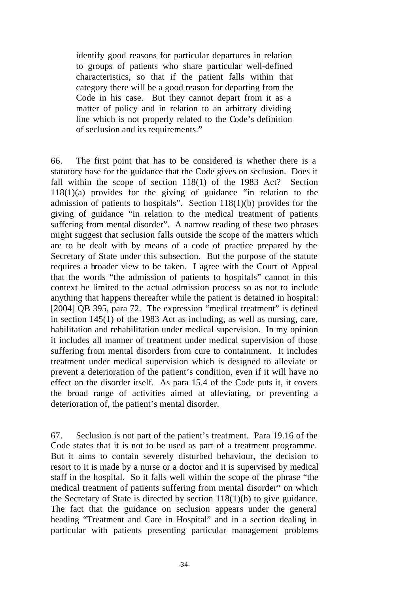identify good reasons for particular departures in relation to groups of patients who share particular well-defined characteristics, so that if the patient falls within that category there will be a good reason for departing from the Code in his case. But they cannot depart from it as a matter of policy and in relation to an arbitrary dividing line which is not properly related to the Code's definition of seclusion and its requirements."

66. The first point that has to be considered is whether there is a statutory base for the guidance that the Code gives on seclusion. Does it fall within the scope of section 118(1) of the 1983 Act? Section 118(1)(a) provides for the giving of guidance "in relation to the admission of patients to hospitals". Section 118(1)(b) provides for the giving of guidance "in relation to the medical treatment of patients suffering from mental disorder". A narrow reading of these two phrases might suggest that seclusion falls outside the scope of the matters which are to be dealt with by means of a code of practice prepared by the Secretary of State under this subsection. But the purpose of the statute requires a broader view to be taken. I agree with the Court of Appeal that the words "the admission of patients to hospitals" cannot in this context be limited to the actual admission process so as not to include anything that happens thereafter while the patient is detained in hospital: [2004] QB 395, para 72. The expression "medical treatment" is defined in section 145(1) of the 1983 Act as including, as well as nursing, care, habilitation and rehabilitation under medical supervision. In my opinion it includes all manner of treatment under medical supervision of those suffering from mental disorders from cure to containment. It includes treatment under medical supervision which is designed to alleviate or prevent a deterioration of the patient's condition, even if it will have no effect on the disorder itself. As para 15.4 of the Code puts it, it covers the broad range of activities aimed at alleviating, or preventing a deterioration of, the patient's mental disorder.

67. Seclusion is not part of the patient's treatment. Para 19.16 of the Code states that it is not to be used as part of a treatment programme. But it aims to contain severely disturbed behaviour, the decision to resort to it is made by a nurse or a doctor and it is supervised by medical staff in the hospital. So it falls well within the scope of the phrase "the medical treatment of patients suffering from mental disorder" on which the Secretary of State is directed by section 118(1)(b) to give guidance. The fact that the guidance on seclusion appears under the general heading "Treatment and Care in Hospital" and in a section dealing in particular with patients presenting particular management problems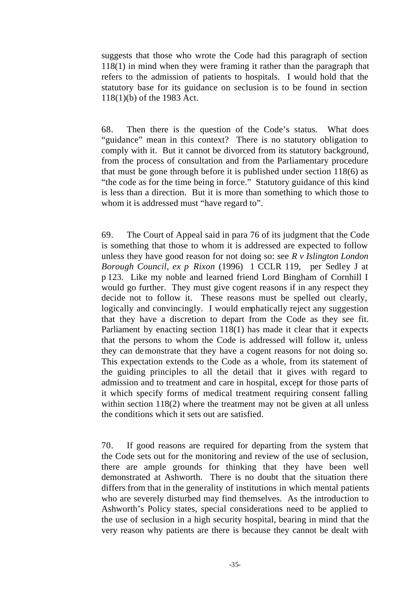suggests that those who wrote the Code had this paragraph of section 118(1) in mind when they were framing it rather than the paragraph that refers to the admission of patients to hospitals. I would hold that the statutory base for its guidance on seclusion is to be found in section 118(1)(b) of the 1983 Act.

68. Then there is the question of the Code's status. What does "guidance" mean in this context? There is no statutory obligation to comply with it. But it cannot be divorced from its statutory background, from the process of consultation and from the Parliamentary procedure that must be gone through before it is published under section 118(6) as "the code as for the time being in force." Statutory guidance of this kind is less than a direction. But it is more than something to which those to whom it is addressed must "have regard to".

69. The Court of Appeal said in para 76 of its judgment that the Code is something that those to whom it is addressed are expected to follow unless they have good reason for not doing so: see *R v Islington London Borough Council, ex p Rixon* (1996) 1 CCLR 119, per Sedley J at p 123. Like my noble and learned friend Lord Bingham of Cornhill I would go further. They must give cogent reasons if in any respect they decide not to follow it. These reasons must be spelled out clearly, logically and convincingly. I would emphatically reject any suggestion that they have a discretion to depart from the Code as they see fit. Parliament by enacting section 118(1) has made it clear that it expects that the persons to whom the Code is addressed will follow it, unless they can demonstrate that they have a cogent reasons for not doing so. This expectation extends to the Code as a whole, from its statement of the guiding principles to all the detail that it gives with regard to admission and to treatment and care in hospital, except for those parts of it which specify forms of medical treatment requiring consent falling within section 118(2) where the treatment may not be given at all unless the conditions which it sets out are satisfied.

70. If good reasons are required for departing from the system that the Code sets out for the monitoring and review of the use of seclusion, there are ample grounds for thinking that they have been well demonstrated at Ashworth. There is no doubt that the situation there differs from that in the generality of institutions in which mental patients who are severely disturbed may find themselves. As the introduction to Ashworth's Policy states, special considerations need to be applied to the use of seclusion in a high security hospital, bearing in mind that the very reason why patients are there is because they cannot be dealt with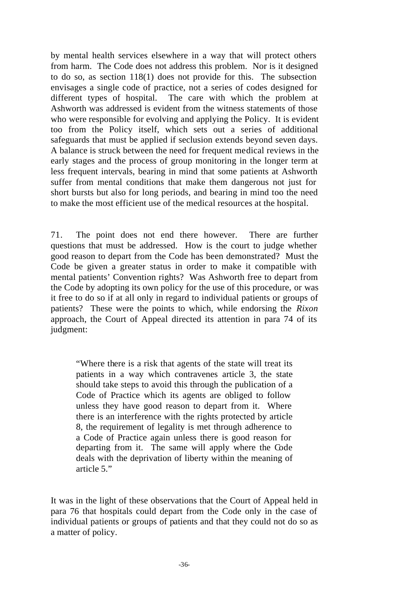by mental health services elsewhere in a way that will protect others from harm. The Code does not address this problem. Nor is it designed to do so, as section 118(1) does not provide for this. The subsection envisages a single code of practice, not a series of codes designed for different types of hospital. The care with which the problem at Ashworth was addressed is evident from the witness statements of those who were responsible for evolving and applying the Policy. It is evident too from the Policy itself, which sets out a series of additional safeguards that must be applied if seclusion extends beyond seven days. A balance is struck between the need for frequent medical reviews in the early stages and the process of group monitoring in the longer term at less frequent intervals, bearing in mind that some patients at Ashworth suffer from mental conditions that make them dangerous not just for short bursts but also for long periods, and bearing in mind too the need to make the most efficient use of the medical resources at the hospital.

71. The point does not end there however. There are further questions that must be addressed. How is the court to judge whether good reason to depart from the Code has been demonstrated? Must the Code be given a greater status in order to make it compatible with mental patients' Convention rights? Was Ashworth free to depart from the Code by adopting its own policy for the use of this procedure, or was it free to do so if at all only in regard to individual patients or groups of patients? These were the points to which, while endorsing the *Rixon* approach, the Court of Appeal directed its attention in para 74 of its judgment:

"Where there is a risk that agents of the state will treat its patients in a way which contravenes article 3, the state should take steps to avoid this through the publication of a Code of Practice which its agents are obliged to follow unless they have good reason to depart from it. Where there is an interference with the rights protected by article 8, the requirement of legality is met through adherence to a Code of Practice again unless there is good reason for departing from it. The same will apply where the Code deals with the deprivation of liberty within the meaning of article 5."

It was in the light of these observations that the Court of Appeal held in para 76 that hospitals could depart from the Code only in the case of individual patients or groups of patients and that they could not do so as a matter of policy.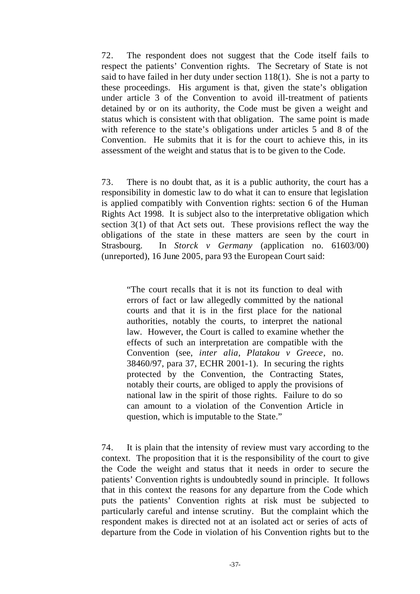72. The respondent does not suggest that the Code itself fails to respect the patients' Convention rights. The Secretary of State is not said to have failed in her duty under section 118(1). She is not a party to these proceedings. His argument is that, given the state's obligation under article 3 of the Convention to avoid ill-treatment of patients detained by or on its authority, the Code must be given a weight and status which is consistent with that obligation. The same point is made with reference to the state's obligations under articles 5 and 8 of the Convention. He submits that it is for the court to achieve this, in its assessment of the weight and status that is to be given to the Code.

73. There is no doubt that, as it is a public authority, the court has a responsibility in domestic law to do what it can to ensure that legislation is applied compatibly with Convention rights: section 6 of the Human Rights Act 1998. It is subject also to the interpretative obligation which section 3(1) of that Act sets out. These provisions reflect the way the obligations of the state in these matters are seen by the court in Strasbourg. In *Storck v Germany* (application no. 61603/00) (unreported), 16 June 2005, para 93 the European Court said:

"The court recalls that it is not its function to deal with errors of fact or law allegedly committed by the national courts and that it is in the first place for the national authorities, notably the courts, to interpret the national law. However, the Court is called to examine whether the effects of such an interpretation are compatible with the Convention (see, *inter alia*, *Platakou v Greece*, no. 38460/97, para 37, ECHR 2001-1). In securing the rights protected by the Convention, the Contracting States, notably their courts, are obliged to apply the provisions of national law in the spirit of those rights. Failure to do so can amount to a violation of the Convention Article in question, which is imputable to the State."

74. It is plain that the intensity of review must vary according to the context. The proposition that it is the responsibility of the court to give the Code the weight and status that it needs in order to secure the patients' Convention rights is undoubtedly sound in principle. It follows that in this context the reasons for any departure from the Code which puts the patients' Convention rights at risk must be subjected to particularly careful and intense scrutiny. But the complaint which the respondent makes is directed not at an isolated act or series of acts of departure from the Code in violation of his Convention rights but to the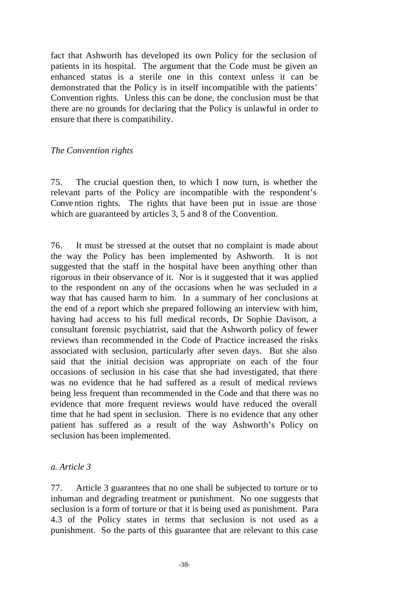fact that Ashworth has developed its own Policy for the seclusion of patients in its hospital. The argument that the Code must be given an enhanced status is a sterile one in this context unless it can be demonstrated that the Policy is in itself incompatible with the patients' Convention rights. Unless this can be done, the conclusion must be that there are no grounds for declaring that the Policy is unlawful in order to ensure that there is compatibility.

### *The Convention rights*

75. The crucial question then, to which I now turn, is whether the relevant parts of the Policy are incompatible with the respondent's Conve ntion rights. The rights that have been put in issue are those which are guaranteed by articles 3, 5 and 8 of the Convention.

76. It must be stressed at the outset that no complaint is made about the way the Policy has been implemented by Ashworth. It is not suggested that the staff in the hospital have been anything other than rigorous in their observance of it. Nor is it suggested that it was applied to the respondent on any of the occasions when he was secluded in a way that has caused harm to him. In a summary of her conclusions at the end of a report which she prepared following an interview with him, having had access to his full medical records, Dr Sophie Davison, a consultant forensic psychiatrist, said that the Ashworth policy of fewer reviews than recommended in the Code of Practice increased the risks associated with seclusion, particularly after seven days. But she also said that the initial decision was appropriate on each of the four occasions of seclusion in his case that she had investigated, that there was no evidence that he had suffered as a result of medical reviews being less frequent than recommended in the Code and that there was no evidence that more frequent reviews would have reduced the overall time that he had spent in seclusion. There is no evidence that any other patient has suffered as a result of the way Ashworth's Policy on seclusion has been implemented.

#### *a. Article 3*

77. Article 3 guarantees that no one shall be subjected to torture or to inhuman and degrading treatment or punishment. No one suggests that seclusion is a form of torture or that it is being used as punishment. Para 4.3 of the Policy states in terms that seclusion is not used as a punishment. So the parts of this guarantee that are relevant to this case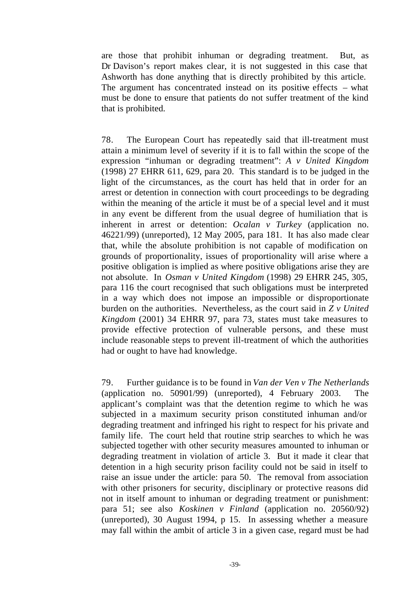are those that prohibit inhuman or degrading treatment. But, as Dr Davison's report makes clear, it is not suggested in this case that Ashworth has done anything that is directly prohibited by this article. The argument has concentrated instead on its positive effects – what must be done to ensure that patients do not suffer treatment of the kind that is prohibited.

78. The European Court has repeatedly said that ill-treatment must attain a minimum level of severity if it is to fall within the scope of the expression "inhuman or degrading treatment": *A v United Kingdom* (1998) 27 EHRR 611, 629, para 20. This standard is to be judged in the light of the circumstances, as the court has held that in order for an arrest or detention in connection with court proceedings to be degrading within the meaning of the article it must be of a special level and it must in any event be different from the usual degree of humiliation that is inherent in arrest or detention: *Ocalan v Turkey* (application no. 46221/99) (unreported), 12 May 2005, para 181. It has also made clear that, while the absolute prohibition is not capable of modification on grounds of proportionality, issues of proportionality will arise where a positive obligation is implied as where positive obligations arise they are not absolute. In *Osman v United Kingdom* (1998) 29 EHRR 245, 305, para 116 the court recognised that such obligations must be interpreted in a way which does not impose an impossible or disproportionate burden on the authorities. Nevertheless, as the court said in *Z v United Kingdom* (2001) 34 EHRR 97, para 73, states must take measures to provide effective protection of vulnerable persons, and these must include reasonable steps to prevent ill-treatment of which the authorities had or ought to have had knowledge.

79. Further guidance is to be found in *Van der Ven v The Netherlands* (application no. 50901/99) (unreported), 4 February 2003. The applicant's complaint was that the detention regime to which he was subjected in a maximum security prison constituted inhuman and/or degrading treatment and infringed his right to respect for his private and family life. The court held that routine strip searches to which he was subjected together with other security measures amounted to inhuman or degrading treatment in violation of article 3. But it made it clear that detention in a high security prison facility could not be said in itself to raise an issue under the article: para 50. The removal from association with other prisoners for security, disciplinary or protective reasons did not in itself amount to inhuman or degrading treatment or punishment: para 51; see also *Koskinen v Finland* (application no. 20560/92) (unreported), 30 August 1994, p 15. In assessing whether a measure may fall within the ambit of article 3 in a given case, regard must be had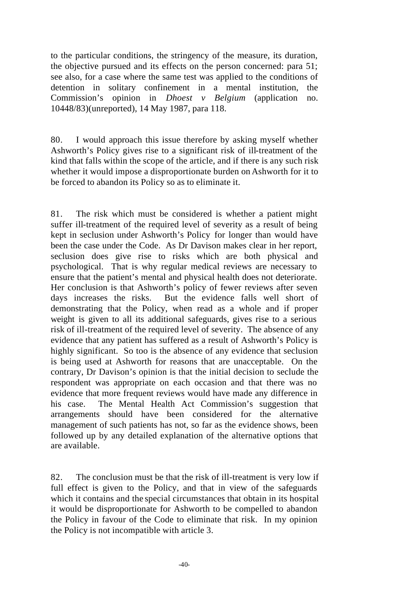to the particular conditions, the stringency of the measure, its duration, the objective pursued and its effects on the person concerned: para 51; see also, for a case where the same test was applied to the conditions of detention in solitary confinement in a mental institution, the Commission's opinion in *Dhoest v Belgium* (application no. 10448/83)(unreported), 14 May 1987, para 118.

80. I would approach this issue therefore by asking myself whether Ashworth's Policy gives rise to a significant risk of ill-treatment of the kind that falls within the scope of the article, and if there is any such risk whether it would impose a disproportionate burden on Ashworth for it to be forced to abandon its Policy so as to eliminate it.

81. The risk which must be considered is whether a patient might suffer ill-treatment of the required level of severity as a result of being kept in seclusion under Ashworth's Policy for longer than would have been the case under the Code. As Dr Davison makes clear in her report, seclusion does give rise to risks which are both physical and psychological. That is why regular medical reviews are necessary to ensure that the patient's mental and physical health does not deteriorate. Her conclusion is that Ashworth's policy of fewer reviews after seven days increases the risks. But the evidence falls well short of demonstrating that the Policy, when read as a whole and if proper weight is given to all its additional safeguards, gives rise to a serious risk of ill-treatment of the required level of severity. The absence of any evidence that any patient has suffered as a result of Ashworth's Policy is highly significant. So too is the absence of any evidence that seclusion is being used at Ashworth for reasons that are unacceptable. On the contrary, Dr Davison's opinion is that the initial decision to seclude the respondent was appropriate on each occasion and that there was no evidence that more frequent reviews would have made any difference in his case. The Mental Health Act Commission's suggestion that arrangements should have been considered for the alternative management of such patients has not, so far as the evidence shows, been followed up by any detailed explanation of the alternative options that are available.

82. The conclusion must be that the risk of ill-treatment is very low if full effect is given to the Policy, and that in view of the safeguards which it contains and the special circumstances that obtain in its hospital it would be disproportionate for Ashworth to be compelled to abandon the Policy in favour of the Code to eliminate that risk. In my opinion the Policy is not incompatible with article 3.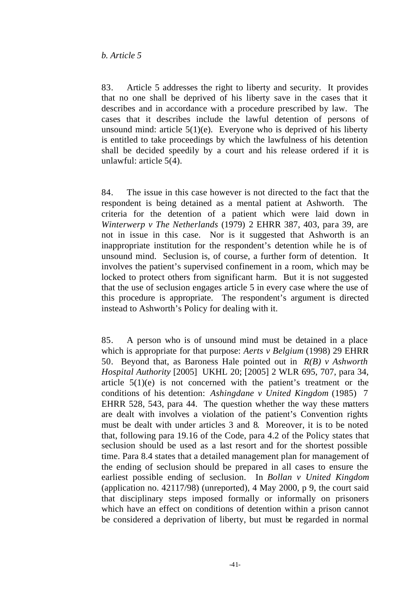83. Article 5 addresses the right to liberty and security. It provides that no one shall be deprived of his liberty save in the cases that it describes and in accordance with a procedure prescribed by law. The cases that it describes include the lawful detention of persons of unsound mind: article  $5(1)(e)$ . Everyone who is deprived of his liberty is entitled to take proceedings by which the lawfulness of his detention shall be decided speedily by a court and his release ordered if it is unlawful: article 5(4).

84. The issue in this case however is not directed to the fact that the respondent is being detained as a mental patient at Ashworth. The criteria for the detention of a patient which were laid down in *Winterwerp v The Netherlands* (1979) 2 EHRR 387, 403, para 39, are not in issue in this case. Nor is it suggested that Ashworth is an inappropriate institution for the respondent's detention while he is of unsound mind. Seclusion is, of course, a further form of detention. It involves the patient's supervised confinement in a room, which may be locked to protect others from significant harm. But it is not suggested that the use of seclusion engages article 5 in every case where the use of this procedure is appropriate. The respondent's argument is directed instead to Ashworth's Policy for dealing with it.

85. A person who is of unsound mind must be detained in a place which is appropriate for that purpose: *Aerts v Belgium* (1998) 29 EHRR 50. Beyond that, as Baroness Hale pointed out in *R(B) v Ashworth Hospital Authority* [2005] UKHL 20; [2005] 2 WLR 695, 707, para 34, article 5(1)(e) is not concerned with the patient's treatment or the conditions of his detention: *Ashingdane v United Kingdom* (1985) 7 EHRR 528, 543, para 44. The question whether the way these matters are dealt with involves a violation of the patient's Convention rights must be dealt with under articles 3 and 8. Moreover, it is to be noted that, following para 19.16 of the Code, para 4.2 of the Policy states that seclusion should be used as a last resort and for the shortest possible time. Para 8.4 states that a detailed management plan for management of the ending of seclusion should be prepared in all cases to ensure the earliest possible ending of seclusion. In *Bollan v United Kingdom* (application no. 42117/98) (unreported), 4 May 2000, p 9, the court said that disciplinary steps imposed formally or informally on prisoners which have an effect on conditions of detention within a prison cannot be considered a deprivation of liberty, but must be regarded in normal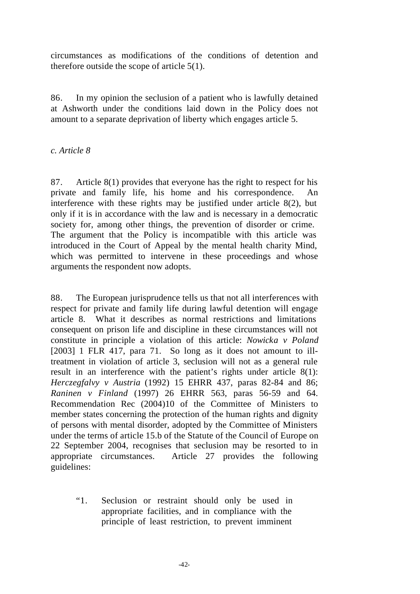circumstances as modifications of the conditions of detention and therefore outside the scope of article 5(1).

86. In my opinion the seclusion of a patient who is lawfully detained at Ashworth under the conditions laid down in the Policy does not amount to a separate deprivation of liberty which engages article 5.

# *c. Article 8*

87. Article 8(1) provides that everyone has the right to respect for his private and family life, his home and his correspondence. An interference with these rights may be justified under article 8(2), but only if it is in accordance with the law and is necessary in a democratic society for, among other things, the prevention of disorder or crime. The argument that the Policy is incompatible with this article was introduced in the Court of Appeal by the mental health charity Mind, which was permitted to intervene in these proceedings and whose arguments the respondent now adopts.

88. The European jurisprudence tells us that not all interferences with respect for private and family life during lawful detention will engage article 8. What it describes as normal restrictions and limitations consequent on prison life and discipline in these circumstances will not constitute in principle a violation of this article: *Nowicka v Poland* [2003] 1 FLR 417, para 71. So long as it does not amount to illtreatment in violation of article 3, seclusion will not as a general rule result in an interference with the patient's rights under article 8(1): *Herczegfalvy v Austria* (1992) 15 EHRR 437, paras 82-84 and 86; *Raninen v Finland* (1997) 26 EHRR 563, paras 56-59 and 64. Recommendation Rec (2004)10 of the Committee of Ministers to member states concerning the protection of the human rights and dignity of persons with mental disorder, adopted by the Committee of Ministers under the terms of article 15.b of the Statute of the Council of Europe on 22 September 2004, recognises that seclusion may be resorted to in appropriate circumstances. Article 27 provides the following guidelines:

"1. Seclusion or restraint should only be used in appropriate facilities, and in compliance with the principle of least restriction, to prevent imminent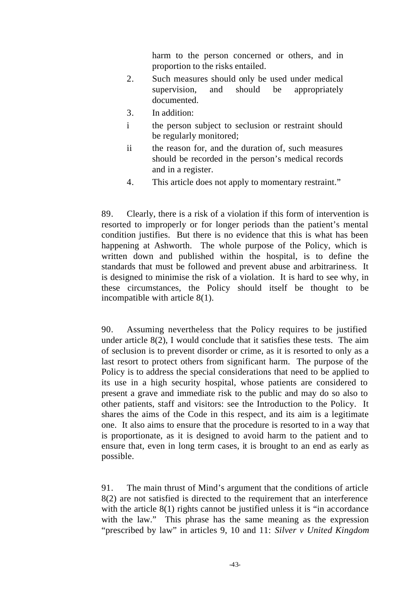harm to the person concerned or others, and in proportion to the risks entailed.

- 2. Such measures should only be used under medical supervision, and should be appropriately documented.
- 3. In addition:
- i the person subject to seclusion or restraint should be regularly monitored;
- ii the reason for, and the duration of, such measures should be recorded in the person's medical records and in a register.
- 4. This article does not apply to momentary restraint."

89. Clearly, there is a risk of a violation if this form of intervention is resorted to improperly or for longer periods than the patient's mental condition justifies. But there is no evidence that this is what has been happening at Ashworth. The whole purpose of the Policy, which is written down and published within the hospital, is to define the standards that must be followed and prevent abuse and arbitrariness. It is designed to minimise the risk of a violation. It is hard to see why, in these circumstances, the Policy should itself be thought to be incompatible with article 8(1).

90. Assuming nevertheless that the Policy requires to be justified under article 8(2), I would conclude that it satisfies these tests. The aim of seclusion is to prevent disorder or crime, as it is resorted to only as a last resort to protect others from significant harm. The purpose of the Policy is to address the special considerations that need to be applied to its use in a high security hospital, whose patients are considered to present a grave and immediate risk to the public and may do so also to other patients, staff and visitors: see the Introduction to the Policy. It shares the aims of the Code in this respect, and its aim is a legitimate one. It also aims to ensure that the procedure is resorted to in a way that is proportionate, as it is designed to avoid harm to the patient and to ensure that, even in long term cases, it is brought to an end as early as possible.

91. The main thrust of Mind's argument that the conditions of article 8(2) are not satisfied is directed to the requirement that an interference with the article 8(1) rights cannot be justified unless it is "in accordance with the law." This phrase has the same meaning as the expression "prescribed by law" in articles 9, 10 and 11: *Silver v United Kingdom*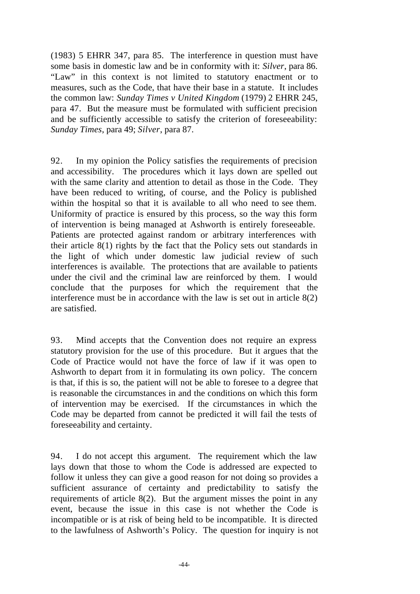(1983) 5 EHRR 347, para 85. The interference in question must have some basis in domestic law and be in conformity with it: *Silver*, para 86. "Law" in this context is not limited to statutory enactment or to measures, such as the Code, that have their base in a statute. It includes the common law: *Sunday Times v United Kingdom* (1979) 2 EHRR 245, para 47. But the measure must be formulated with sufficient precision and be sufficiently accessible to satisfy the criterion of foreseeability: *Sunday Times*, para 49; *Silver*, para 87.

92. In my opinion the Policy satisfies the requirements of precision and accessibility. The procedures which it lays down are spelled out with the same clarity and attention to detail as those in the Code. They have been reduced to writing, of course, and the Policy is published within the hospital so that it is available to all who need to see them. Uniformity of practice is ensured by this process, so the way this form of intervention is being managed at Ashworth is entirely foreseeable. Patients are protected against random or arbitrary interferences with their article 8(1) rights by the fact that the Policy sets out standards in the light of which under domestic law judicial review of such interferences is available. The protections that are available to patients under the civil and the criminal law are reinforced by them. I would conclude that the purposes for which the requirement that the interference must be in accordance with the law is set out in article 8(2) are satisfied.

93. Mind accepts that the Convention does not require an express statutory provision for the use of this procedure. But it argues that the Code of Practice would not have the force of law if it was open to Ashworth to depart from it in formulating its own policy. The concern is that, if this is so, the patient will not be able to foresee to a degree that is reasonable the circumstances in and the conditions on which this form of intervention may be exercised. If the circumstances in which the Code may be departed from cannot be predicted it will fail the tests of foreseeability and certainty.

94. I do not accept this argument. The requirement which the law lays down that those to whom the Code is addressed are expected to follow it unless they can give a good reason for not doing so provides a sufficient assurance of certainty and predictability to satisfy the requirements of article 8(2). But the argument misses the point in any event, because the issue in this case is not whether the Code is incompatible or is at risk of being held to be incompatible. It is directed to the lawfulness of Ashworth's Policy. The question for inquiry is not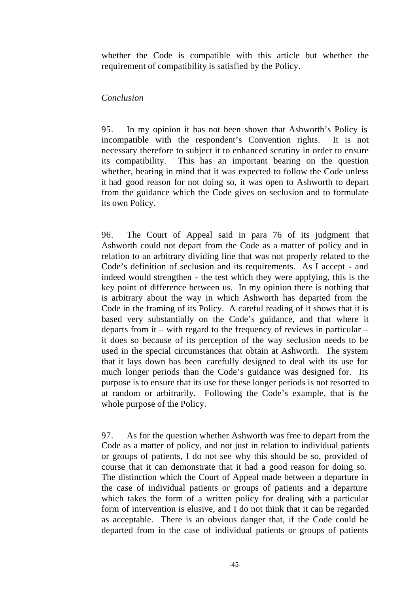whether the Code is compatible with this article but whether the requirement of compatibility is satisfied by the Policy.

# *Conclusion*

95. In my opinion it has not been shown that Ashworth's Policy is incompatible with the respondent's Convention rights. It is not necessary therefore to subject it to enhanced scrutiny in order to ensure its compatibility. This has an important bearing on the question whether, bearing in mind that it was expected to follow the Code unless it had good reason for not doing so, it was open to Ashworth to depart from the guidance which the Code gives on seclusion and to formulate its own Policy.

96. The Court of Appeal said in para 76 of its judgment that Ashworth could not depart from the Code as a matter of policy and in relation to an arbitrary dividing line that was not properly related to the Code's definition of seclusion and its requirements. As I accept - and indeed would strengthen - the test which they were applying, this is the key point of difference between us. In my opinion there is nothing that is arbitrary about the way in which Ashworth has departed from the Code in the framing of its Policy. A careful reading of it shows that it is based very substantially on the Code's guidance, and that where it departs from it – with regard to the frequency of reviews in particular – it does so because of its perception of the way seclusion needs to be used in the special circumstances that obtain at Ashworth. The system that it lays down has been carefully designed to deal with its use for much longer periods than the Code's guidance was designed for. Its purpose is to ensure that its use for these longer periods is not resorted to at random or arbitrarily. Following the Code's example, that is the whole purpose of the Policy.

97. As for the question whether Ashworth was free to depart from the Code as a matter of policy, and not just in relation to individual patients or groups of patients, I do not see why this should be so, provided of course that it can demonstrate that it had a good reason for doing so. The distinction which the Court of Appeal made between a departure in the case of individual patients or groups of patients and a departure which takes the form of a written policy for dealing with a particular form of intervention is elusive, and I do not think that it can be regarded as acceptable. There is an obvious danger that, if the Code could be departed from in the case of individual patients or groups of patients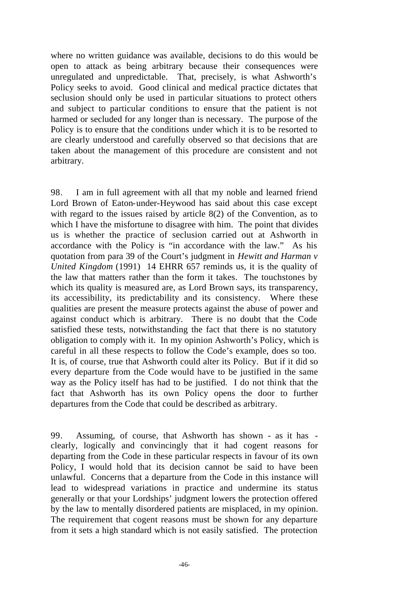where no written guidance was available, decisions to do this would be open to attack as being arbitrary because their consequences were unregulated and unpredictable. That, precisely, is what Ashworth's Policy seeks to avoid. Good clinical and medical practice dictates that seclusion should only be used in particular situations to protect others and subject to particular conditions to ensure that the patient is not harmed or secluded for any longer than is necessary. The purpose of the Policy is to ensure that the conditions under which it is to be resorted to are clearly understood and carefully observed so that decisions that are taken about the management of this procedure are consistent and not arbitrary.

98. I am in full agreement with all that my noble and learned friend Lord Brown of Eaton-under-Heywood has said about this case except with regard to the issues raised by article 8(2) of the Convention, as to which I have the misfortune to disagree with him. The point that divides us is whether the practice of seclusion carried out at Ashworth in accordance with the Policy is "in accordance with the law." As his quotation from para 39 of the Court's judgment in *Hewitt and Harman v United Kingdom* (1991) 14 EHRR 657 reminds us, it is the quality of the law that matters rather than the form it takes. The touchstones by which its quality is measured are, as Lord Brown says, its transparency, its accessibility, its predictability and its consistency. Where these qualities are present the measure protects against the abuse of power and against conduct which is arbitrary. There is no doubt that the Code satisfied these tests, notwithstanding the fact that there is no statutory obligation to comply with it. In my opinion Ashworth's Policy, which is careful in all these respects to follow the Code's example, does so too. It is, of course, true that Ashworth could alter its Policy. But if it did so every departure from the Code would have to be justified in the same way as the Policy itself has had to be justified. I do not think that the fact that Ashworth has its own Policy opens the door to further departures from the Code that could be described as arbitrary.

99. Assuming, of course, that Ashworth has shown - as it has clearly, logically and convincingly that it had cogent reasons for departing from the Code in these particular respects in favour of its own Policy, I would hold that its decision cannot be said to have been unlawful. Concerns that a departure from the Code in this instance will lead to widespread variations in practice and undermine its status generally or that your Lordships' judgment lowers the protection offered by the law to mentally disordered patients are misplaced, in my opinion. The requirement that cogent reasons must be shown for any departure from it sets a high standard which is not easily satisfied. The protection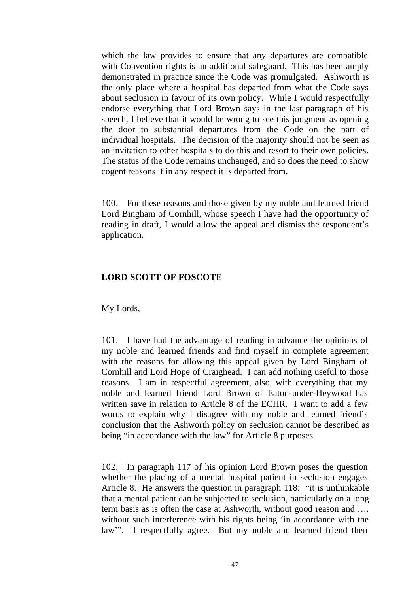which the law provides to ensure that any departures are compatible with Convention rights is an additional safeguard. This has been amply demonstrated in practice since the Code was promulgated. Ashworth is the only place where a hospital has departed from what the Code says about seclusion in favour of its own policy. While I would respectfully endorse everything that Lord Brown says in the last paragraph of his speech, I believe that it would be wrong to see this judgment as opening the door to substantial departures from the Code on the part of individual hospitals. The decision of the majority should not be seen as an invitation to other hospitals to do this and resort to their own policies. The status of the Code remains unchanged, and so does the need to show cogent reasons if in any respect it is departed from.

100. For these reasons and those given by my noble and learned friend Lord Bingham of Cornhill, whose speech I have had the opportunity of reading in draft, I would allow the appeal and dismiss the respondent's application.

# **LORD SCOTT OF FOSCOTE**

My Lords,

101. I have had the advantage of reading in advance the opinions of my noble and learned friends and find myself in complete agreement with the reasons for allowing this appeal given by Lord Bingham of Cornhill and Lord Hope of Craighead. I can add nothing useful to those reasons. I am in respectful agreement, also, with everything that my noble and learned friend Lord Brown of Eaton-under-Heywood has written save in relation to Article 8 of the ECHR. I want to add a few words to explain why I disagree with my noble and learned friend's conclusion that the Ashworth policy on seclusion cannot be described as being "in accordance with the law" for Article 8 purposes.

102. In paragraph 117 of his opinion Lord Brown poses the question whether the placing of a mental hospital patient in seclusion engages Article 8. He answers the question in paragraph 118: "it is unthinkable that a mental patient can be subjected to seclusion, particularly on a long term basis as is often the case at Ashworth, without good reason and …. without such interference with his rights being 'in accordance with the law". I respectfully agree. But my noble and learned friend then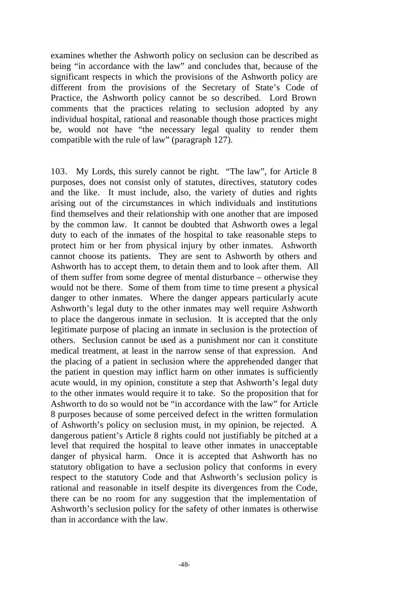examines whether the Ashworth policy on seclusion can be described as being "in accordance with the law" and concludes that, because of the significant respects in which the provisions of the Ashworth policy are different from the provisions of the Secretary of State's Code of Practice, the Ashworth policy cannot be so described. Lord Brown comments that the practices relating to seclusion adopted by any individual hospital, rational and reasonable though those practices might be, would not have "the necessary legal quality to render them compatible with the rule of law" (paragraph 127).

103. My Lords, this surely cannot be right. "The law", for Article 8 purposes, does not consist only of statutes, directives, statutory codes and the like. It must include, also, the variety of duties and rights arising out of the circumstances in which individuals and institutions find themselves and their relationship with one another that are imposed by the common law. It cannot be doubted that Ashworth owes a legal duty to each of the inmates of the hospital to take reasonable steps to protect him or her from physical injury by other inmates. Ashworth cannot choose its patients. They are sent to Ashworth by others and Ashworth has to accept them, to detain them and to look after them. All of them suffer from some degree of mental disturbance – otherwise they would not be there. Some of them from time to time present a physical danger to other inmates. Where the danger appears particularly acute Ashworth's legal duty to the other inmates may well require Ashworth to place the dangerous inmate in seclusion. It is accepted that the only legitimate purpose of placing an inmate in seclusion is the protection of others. Seclusion cannot be used as a punishment nor can it constitute medical treatment, at least in the narrow sense of that expression. And the placing of a patient in seclusion where the apprehended danger that the patient in question may inflict harm on other inmates is sufficiently acute would, in my opinion, constitute a step that Ashworth's legal duty to the other inmates would require it to take. So the proposition that for Ashworth to do so would not be "in accordance with the law" for Article 8 purposes because of some perceived defect in the written formulation of Ashworth's policy on seclusion must, in my opinion, be rejected. A dangerous patient's Article 8 rights could not justifiably be pitched at a level that required the hospital to leave other inmates in unacceptable danger of physical harm. Once it is accepted that Ashworth has no statutory obligation to have a seclusion policy that conforms in every respect to the statutory Code and that Ashworth's seclusion policy is rational and reasonable in itself despite its divergences from the Code, there can be no room for any suggestion that the implementation of Ashworth's seclusion policy for the safety of other inmates is otherwise than in accordance with the law.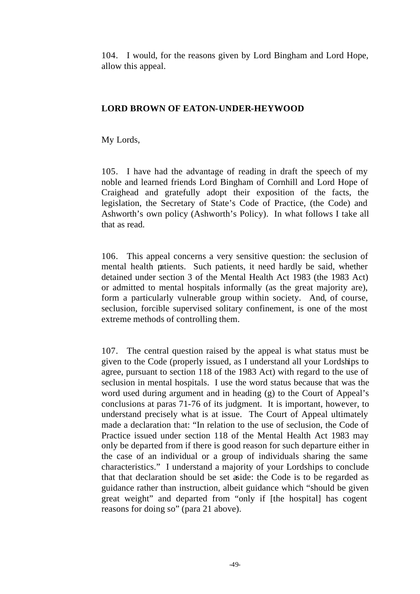104. I would, for the reasons given by Lord Bingham and Lord Hope, allow this appeal.

### **LORD BROWN OF EATON-UNDER-HEYWOOD**

My Lords,

105. I have had the advantage of reading in draft the speech of my noble and learned friends Lord Bingham of Cornhill and Lord Hope of Craighead and gratefully adopt their exposition of the facts, the legislation, the Secretary of State's Code of Practice, (the Code) and Ashworth's own policy (Ashworth's Policy). In what follows I take all that as read.

106. This appeal concerns a very sensitive question: the seclusion of mental health patients. Such patients, it need hardly be said, whether detained under section 3 of the Mental Health Act 1983 (the 1983 Act) or admitted to mental hospitals informally (as the great majority are), form a particularly vulnerable group within society. And, of course, seclusion, forcible supervised solitary confinement, is one of the most extreme methods of controlling them.

107. The central question raised by the appeal is what status must be given to the Code (properly issued, as I understand all your Lordships to agree, pursuant to section 118 of the 1983 Act) with regard to the use of seclusion in mental hospitals. I use the word status because that was the word used during argument and in heading (g) to the Court of Appeal's conclusions at paras 71-76 of its judgment. It is important, however, to understand precisely what is at issue. The Court of Appeal ultimately made a declaration that: "In relation to the use of seclusion, the Code of Practice issued under section 118 of the Mental Health Act 1983 may only be departed from if there is good reason for such departure either in the case of an individual or a group of individuals sharing the same characteristics." I understand a majority of your Lordships to conclude that that declaration should be set aside: the Code is to be regarded as guidance rather than instruction, albeit guidance which "should be given great weight" and departed from "only if [the hospital] has cogent reasons for doing so" (para 21 above).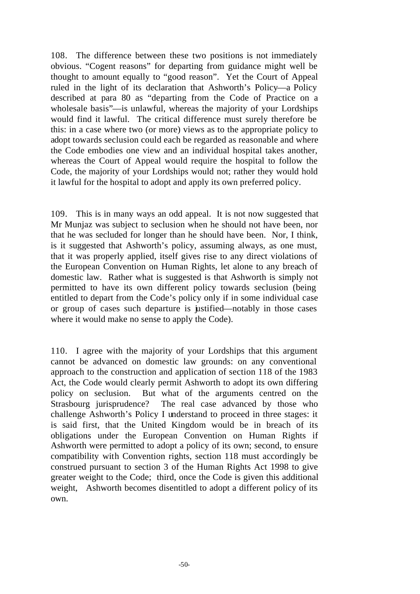108. The difference between these two positions is not immediately obvious. "Cogent reasons" for departing from guidance might well be thought to amount equally to "good reason". Yet the Court of Appeal ruled in the light of its declaration that Ashworth's Policy—a Policy described at para 80 as "departing from the Code of Practice on a wholesale basis"—is unlawful, whereas the majority of your Lordships would find it lawful. The critical difference must surely therefore be this: in a case where two (or more) views as to the appropriate policy to adopt towards seclusion could each be regarded as reasonable and where the Code embodies one view and an individual hospital takes another, whereas the Court of Appeal would require the hospital to follow the Code, the majority of your Lordships would not; rather they would hold it lawful for the hospital to adopt and apply its own preferred policy.

109. This is in many ways an odd appeal. It is not now suggested that Mr Munjaz was subject to seclusion when he should not have been, nor that he was secluded for longer than he should have been. Nor, I think, is it suggested that Ashworth's policy, assuming always, as one must, that it was properly applied, itself gives rise to any direct violations of the European Convention on Human Rights, let alone to any breach of domestic law. Rather what is suggested is that Ashworth is simply not permitted to have its own different policy towards seclusion (being entitled to depart from the Code's policy only if in some individual case or group of cases such departure is justified—notably in those cases where it would make no sense to apply the Code).

110. I agree with the majority of your Lordships that this argument cannot be advanced on domestic law grounds: on any conventional approach to the construction and application of section 118 of the 1983 Act, the Code would clearly permit Ashworth to adopt its own differing policy on seclusion. But what of the arguments centred on the Strasbourg jurisprudence? The real case advanced by those who challenge Ashworth's Policy I understand to proceed in three stages: it is said first, that the United Kingdom would be in breach of its obligations under the European Convention on Human Rights if Ashworth were permitted to adopt a policy of its own; second, to ensure compatibility with Convention rights, section 118 must accordingly be construed pursuant to section 3 of the Human Rights Act 1998 to give greater weight to the Code; third, once the Code is given this additional weight, Ashworth becomes disentitled to adopt a different policy of its own.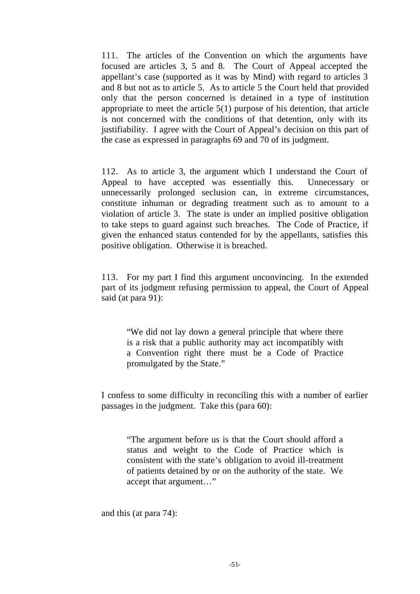111. The articles of the Convention on which the arguments have focused are articles 3, 5 and 8. The Court of Appeal accepted the appellant's case (supported as it was by Mind) with regard to articles 3 and 8 but not as to article 5. As to article 5 the Court held that provided only that the person concerned is detained in a type of institution appropriate to meet the article 5(1) purpose of his detention, that article is not concerned with the conditions of that detention, only with its justifiability. I agree with the Court of Appeal's decision on this part of the case as expressed in paragraphs 69 and 70 of its judgment.

112. As to article 3, the argument which I understand the Court of Appeal to have accepted was essentially this. Unnecessary or unnecessarily prolonged seclusion can, in extreme circumstances, constitute inhuman or degrading treatment such as to amount to a violation of article 3. The state is under an implied positive obligation to take steps to guard against such breaches. The Code of Practice, if given the enhanced status contended for by the appellants, satisfies this positive obligation. Otherwise it is breached.

113. For my part I find this argument unconvincing. In the extended part of its judgment refusing permission to appeal, the Court of Appeal said (at para 91):

"We did not lay down a general principle that where there is a risk that a public authority may act incompatibly with a Convention right there must be a Code of Practice promulgated by the State."

I confess to some difficulty in reconciling this with a number of earlier passages in the judgment. Take this (para 60):

"The argument before us is that the Court should afford a status and weight to the Code of Practice which is consistent with the state's obligation to avoid ill-treatment of patients detained by or on the authority of the state. We accept that argument…"

and this (at para 74):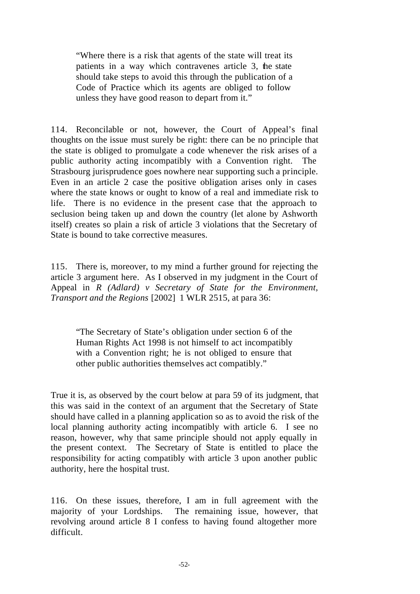"Where there is a risk that agents of the state will treat its patients in a way which contravenes article 3, the state should take steps to avoid this through the publication of a Code of Practice which its agents are obliged to follow unless they have good reason to depart from it."

114. Reconcilable or not, however, the Court of Appeal's final thoughts on the issue must surely be right: there can be no principle that the state is obliged to promulgate a code whenever the risk arises of a public authority acting incompatibly with a Convention right. The Strasbourg jurisprudence goes nowhere near supporting such a principle. Even in an article 2 case the positive obligation arises only in cases where the state knows or ought to know of a real and immediate risk to life. There is no evidence in the present case that the approach to seclusion being taken up and down the country (let alone by Ashworth itself) creates so plain a risk of article 3 violations that the Secretary of State is bound to take corrective measures.

115. There is, moreover, to my mind a further ground for rejecting the article 3 argument here. As I observed in my judgment in the Court of Appeal in *R (Adlard) v Secretary of State for the Environment, Transport and the Regions* [2002] 1 WLR 2515, at para 36:

"The Secretary of State's obligation under section 6 of the Human Rights Act 1998 is not himself to act incompatibly with a Convention right; he is not obliged to ensure that other public authorities themselves act compatibly."

True it is, as observed by the court below at para 59 of its judgment, that this was said in the context of an argument that the Secretary of State should have called in a planning application so as to avoid the risk of the local planning authority acting incompatibly with article 6. I see no reason, however, why that same principle should not apply equally in the present context. The Secretary of State is entitled to place the responsibility for acting compatibly with article 3 upon another public authority, here the hospital trust.

116. On these issues, therefore, I am in full agreement with the majority of your Lordships. The remaining issue, however, that revolving around article 8 I confess to having found altogether more difficult.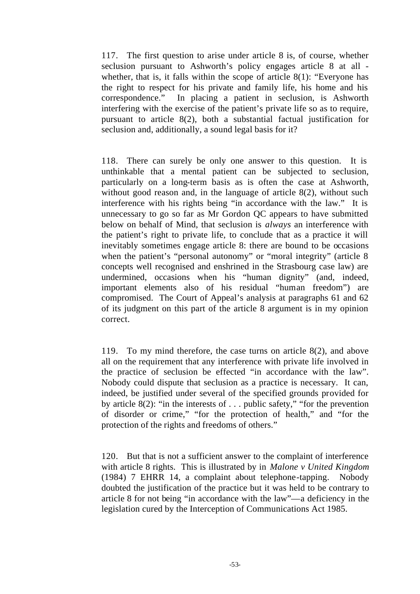117. The first question to arise under article 8 is, of course, whether seclusion pursuant to Ashworth's policy engages article 8 at all whether, that is, it falls within the scope of article 8(1): "Everyone has the right to respect for his private and family life, his home and his correspondence." In placing a patient in seclusion, is Ashworth interfering with the exercise of the patient's private life so as to require, pursuant to article 8(2), both a substantial factual justification for seclusion and, additionally, a sound legal basis for it?

118. There can surely be only one answer to this question. It is unthinkable that a mental patient can be subjected to seclusion, particularly on a long-term basis as is often the case at Ashworth, without good reason and, in the language of article 8(2), without such interference with his rights being "in accordance with the law." It is unnecessary to go so far as Mr Gordon QC appears to have submitted below on behalf of Mind, that seclusion is *always* an interference with the patient's right to private life, to conclude that as a practice it will inevitably sometimes engage article 8: there are bound to be occasions when the patient's "personal autonomy" or "moral integrity" (article 8 concepts well recognised and enshrined in the Strasbourg case law) are undermined, occasions when his "human dignity" (and, indeed, important elements also of his residual "human freedom") are compromised. The Court of Appeal's analysis at paragraphs 61 and 62 of its judgment on this part of the article 8 argument is in my opinion correct.

119. To my mind therefore, the case turns on article 8(2), and above all on the requirement that any interference with private life involved in the practice of seclusion be effected "in accordance with the law". Nobody could dispute that seclusion as a practice is necessary. It can, indeed, be justified under several of the specified grounds provided for by article  $8(2)$ : "in the interests of . . . public safety," "for the prevention of disorder or crime," "for the protection of health," and "for the protection of the rights and freedoms of others."

120. But that is not a sufficient answer to the complaint of interference with article 8 rights. This is illustrated by in *Malone v United Kingdom* (1984) 7 EHRR 14, a complaint about telephone-tapping. Nobody doubted the justification of the practice but it was held to be contrary to article 8 for not being "in accordance with the law"—a deficiency in the legislation cured by the Interception of Communications Act 1985.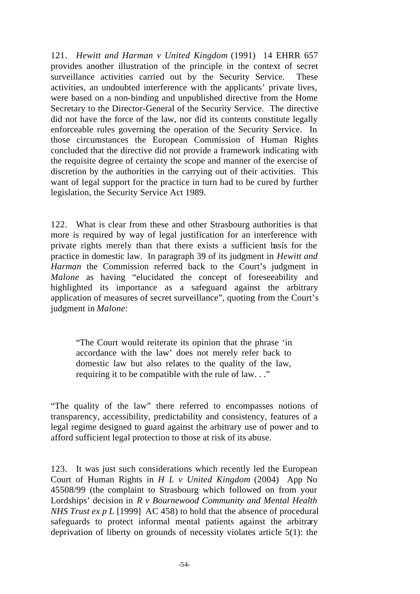121. *Hewitt and Harman v United Kingdom* (1991) 14 EHRR 657 provides another illustration of the principle in the context of secret surveillance activities carried out by the Security Service. These activities, an undoubted interference with the applicants' private lives, were based on a non-binding and unpublished directive from the Home Secretary to the Director-General of the Security Service. The directive did not have the force of the law, nor did its contents constitute legally enforceable rules governing the operation of the Security Service. In those circumstances the European Commission of Human Rights concluded that the directive did not provide a framework indicating with the requisite degree of certainty the scope and manner of the exercise of discretion by the authorities in the carrying out of their activities. This want of legal support for the practice in turn had to be cured by further legislation, the Security Service Act 1989.

122. What is clear from these and other Strasbourg authorities is that more is required by way of legal justification for an interference with private rights merely than that there exists a sufficient basis for the practice in domestic law. In paragraph 39 of its judgment in *Hewitt and Harman* the Commission referred back to the Court's judgment in *Malone* as having "elucidated the concept of foreseeability and highlighted its importance as a safeguard against the arbitrary application of measures of secret surveillance", quoting from the Court's judgment in *Malone*:

"The Court would reiterate its opinion that the phrase 'in accordance with the law' does not merely refer back to domestic law but also relates to the quality of the law, requiring it to be compatible with the rule of law. . ."

"The quality of the law" there referred to encompasses notions of transparency, accessibility, predictability and consistency, features of a legal regime designed to guard against the arbitrary use of power and to afford sufficient legal protection to those at risk of its abuse.

123. It was just such considerations which recently led the European Court of Human Rights in *H L v United Kingdom* (2004) App No 45508/99 (the complaint to Strasbourg which followed on from your Lordships' decision in *R v Bournewood Community and Mental Health NHS Trust ex p L* [1999] AC 458) to hold that the absence of procedural safeguards to protect informal mental patients against the arbitrary deprivation of liberty on grounds of necessity violates article 5(1): the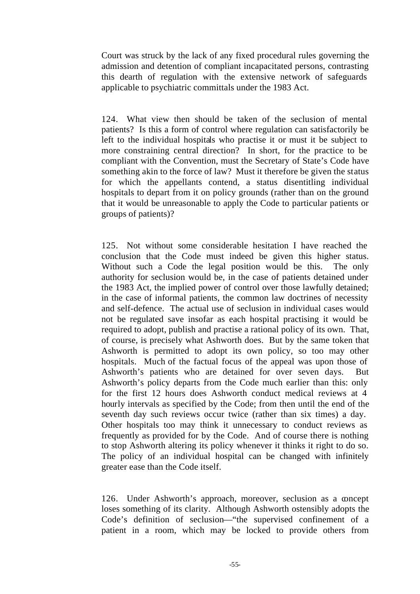Court was struck by the lack of any fixed procedural rules governing the admission and detention of compliant incapacitated persons, contrasting this dearth of regulation with the extensive network of safeguards applicable to psychiatric committals under the 1983 Act.

124. What view then should be taken of the seclusion of mental patients? Is this a form of control where regulation can satisfactorily be left to the individual hospitals who practise it or must it be subject to more constraining central direction? In short, for the practice to be compliant with the Convention, must the Secretary of State's Code have something akin to the force of law? Must it therefore be given the status for which the appellants contend, a status disentitling individual hospitals to depart from it on policy grounds (rather than on the ground that it would be unreasonable to apply the Code to particular patients or groups of patients)?

125. Not without some considerable hesitation I have reached the conclusion that the Code must indeed be given this higher status. Without such a Code the legal position would be this. The only authority for seclusion would be, in the case of patients detained under the 1983 Act, the implied power of control over those lawfully detained; in the case of informal patients, the common law doctrines of necessity and self-defence. The actual use of seclusion in individual cases would not be regulated save insofar as each hospital practising it would be required to adopt, publish and practise a rational policy of its own. That, of course, is precisely what Ashworth does. But by the same token that Ashworth is permitted to adopt its own policy, so too may other hospitals. Much of the factual focus of the appeal was upon those of Ashworth's patients who are detained for over seven days. But Ashworth's policy departs from the Code much earlier than this: only for the first 12 hours does Ashworth conduct medical reviews at 4 hourly intervals as specified by the Code; from then until the end of the seventh day such reviews occur twice (rather than six times) a day. Other hospitals too may think it unnecessary to conduct reviews as frequently as provided for by the Code. And of course there is nothing to stop Ashworth altering its policy whenever it thinks it right to do so. The policy of an individual hospital can be changed with infinitely greater ease than the Code itself.

126. Under Ashworth's approach, moreover, seclusion as a concept loses something of its clarity. Although Ashworth ostensibly adopts the Code's definition of seclusion—"the supervised confinement of a patient in a room, which may be locked to provide others from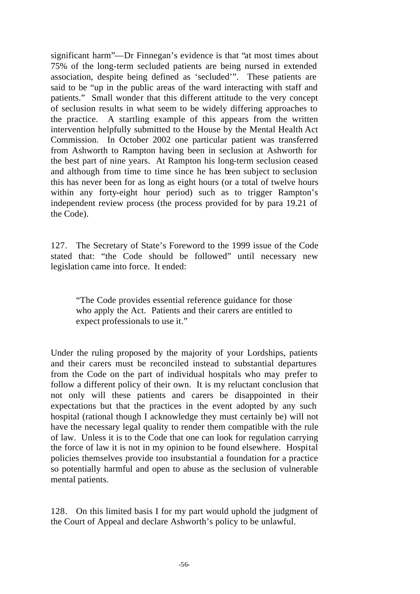significant harm"—Dr Finnegan's evidence is that "at most times about 75% of the long-term secluded patients are being nursed in extended association, despite being defined as 'secluded'". These patients are said to be "up in the public areas of the ward interacting with staff and patients." Small wonder that this different attitude to the very concept of seclusion results in what seem to be widely differing approaches to the practice. A startling example of this appears from the written intervention helpfully submitted to the House by the Mental Health Act Commission. In October 2002 one particular patient was transferred from Ashworth to Rampton having been in seclusion at Ashworth for the best part of nine years. At Rampton his long-term seclusion ceased and although from time to time since he has been subject to seclusion this has never been for as long as eight hours (or a total of twelve hours within any forty-eight hour period) such as to trigger Rampton's independent review process (the process provided for by para 19.21 of the Code).

127. The Secretary of State's Foreword to the 1999 issue of the Code stated that: "the Code should be followed" until necessary new legislation came into force. It ended:

"The Code provides essential reference guidance for those who apply the Act. Patients and their carers are entitled to expect professionals to use it."

Under the ruling proposed by the majority of your Lordships, patients and their carers must be reconciled instead to substantial departures from the Code on the part of individual hospitals who may prefer to follow a different policy of their own. It is my reluctant conclusion that not only will these patients and carers be disappointed in their expectations but that the practices in the event adopted by any such hospital (rational though I acknowledge they must certainly be) will not have the necessary legal quality to render them compatible with the rule of law. Unless it is to the Code that one can look for regulation carrying the force of law it is not in my opinion to be found elsewhere. Hospital policies themselves provide too insubstantial a foundation for a practice so potentially harmful and open to abuse as the seclusion of vulnerable mental patients.

128. On this limited basis I for my part would uphold the judgment of the Court of Appeal and declare Ashworth's policy to be unlawful.